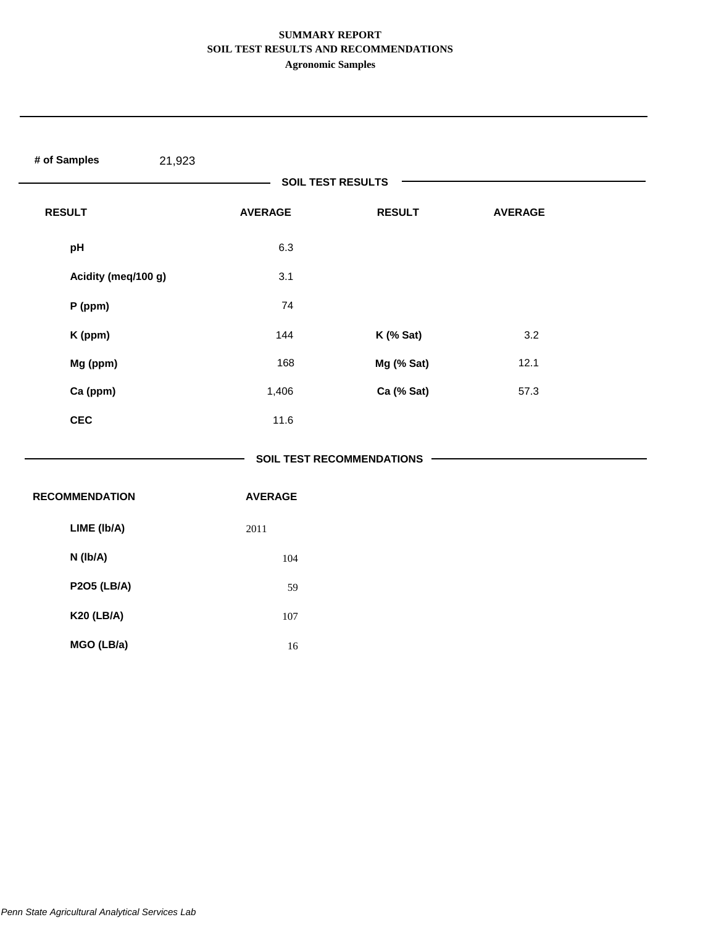# **SUMMARY REPORT SOIL TEST RESULTS AND RECOMMENDATIONS**

**Agronomic Samples**

| # of Samples<br>21,923 |                |                                  |                |  |
|------------------------|----------------|----------------------------------|----------------|--|
|                        |                | <b>SOIL TEST RESULTS</b>         |                |  |
| <b>RESULT</b>          | <b>AVERAGE</b> | <b>RESULT</b>                    | <b>AVERAGE</b> |  |
| pH                     | 6.3            |                                  |                |  |
| Acidity (meq/100 g)    | 3.1            |                                  |                |  |
| P (ppm)                | 74             |                                  |                |  |
| K (ppm)                | 144            | K (% Sat)                        | 3.2            |  |
| Mg (ppm)               | 168            | Mg (% Sat)                       | 12.1           |  |
| Ca (ppm)               | 1,406          | Ca (% Sat)                       | 57.3           |  |
| CEC                    | 11.6           |                                  |                |  |
|                        |                | <b>SOIL TEST RECOMMENDATIONS</b> |                |  |
| <b>RECOMMENDATION</b>  | <b>AVERAGE</b> |                                  |                |  |
| LIME (Ib/A)            | 2011           |                                  |                |  |
| N (Ib/A)               | 104            |                                  |                |  |
| <b>P2O5 (LB/A)</b>     | 59             |                                  |                |  |
| <b>K20 (LB/A)</b>      | $107\,$        |                                  |                |  |
| MGO (LB/a)             | $16\,$         |                                  |                |  |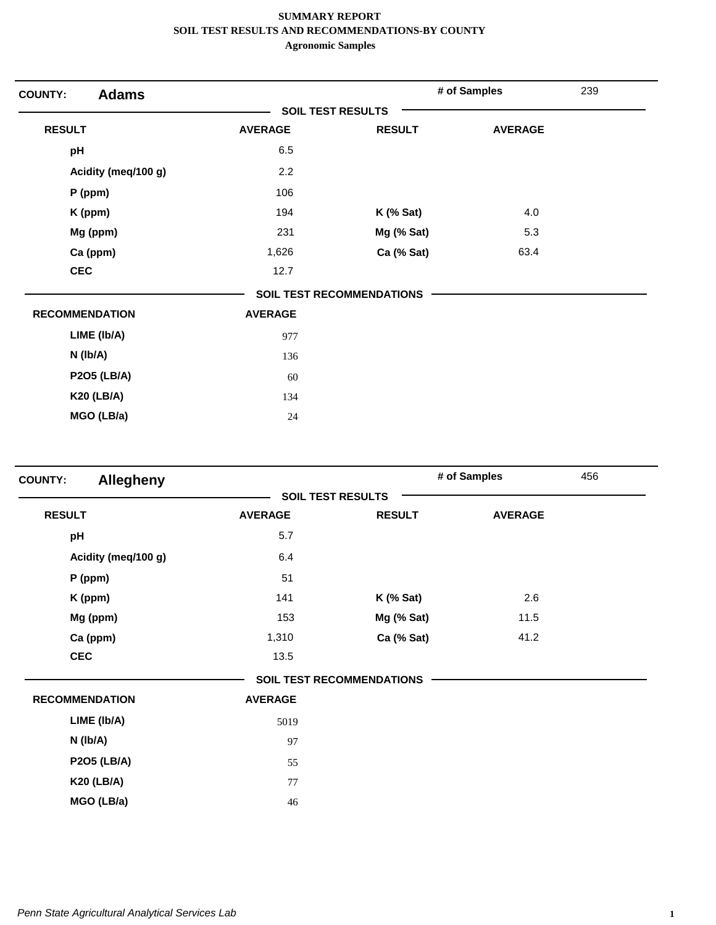| <b>Adams</b><br><b>COUNTY:</b> |                          |                                  | # of Samples   | 239 |
|--------------------------------|--------------------------|----------------------------------|----------------|-----|
|                                | <b>SOIL TEST RESULTS</b> |                                  |                |     |
| <b>RESULT</b>                  | <b>AVERAGE</b>           | <b>RESULT</b>                    | <b>AVERAGE</b> |     |
| pH                             | 6.5                      |                                  |                |     |
| Acidity (meq/100 g)            | 2.2                      |                                  |                |     |
| $P$ (ppm)                      | 106                      |                                  |                |     |
| K (ppm)                        | 194                      | $K$ (% Sat)                      | 4.0            |     |
| Mg (ppm)                       | 231                      | Mg (% Sat)                       | 5.3            |     |
| Ca (ppm)                       | 1,626                    | Ca (% Sat)                       | 63.4           |     |
| <b>CEC</b>                     | 12.7                     |                                  |                |     |
|                                |                          | <b>SOIL TEST RECOMMENDATIONS</b> |                |     |
| <b>RECOMMENDATION</b>          | <b>AVERAGE</b>           |                                  |                |     |
| LIME (Ib/A)                    | 977                      |                                  |                |     |
| $N$ (lb/A)                     | 136                      |                                  |                |     |
| <b>P2O5 (LB/A)</b>             | 60                       |                                  |                |     |
| <b>K20 (LB/A)</b>              | 134                      |                                  |                |     |
| MGO (LB/a)                     | 24                       |                                  |                |     |

| <b>COUNTY:</b> | <b>Allegheny</b>      |                          |                                  | # of Samples   | 456 |
|----------------|-----------------------|--------------------------|----------------------------------|----------------|-----|
|                |                       | <b>SOIL TEST RESULTS</b> |                                  |                |     |
| <b>RESULT</b>  |                       | <b>AVERAGE</b>           | <b>RESULT</b>                    | <b>AVERAGE</b> |     |
| pH             |                       | 5.7                      |                                  |                |     |
|                | Acidity (meq/100 g)   | 6.4                      |                                  |                |     |
|                | $P$ (ppm)             | 51                       |                                  |                |     |
|                | K (ppm)               | 141                      | $K$ (% Sat)                      | 2.6            |     |
|                | Mg (ppm)              | 153                      | Mg (% Sat)                       | 11.5           |     |
|                | Ca (ppm)              | 1,310                    | Ca (% Sat)                       | 41.2           |     |
| <b>CEC</b>     |                       | 13.5                     |                                  |                |     |
|                |                       |                          | <b>SOIL TEST RECOMMENDATIONS</b> |                |     |
|                | <b>RECOMMENDATION</b> | <b>AVERAGE</b>           |                                  |                |     |
|                | LIME (Ib/A)           | 5019                     |                                  |                |     |
|                | $N$ (lb/A)            | 97                       |                                  |                |     |
|                | <b>P2O5 (LB/A)</b>    | 55                       |                                  |                |     |
|                | <b>K20 (LB/A)</b>     | 77                       |                                  |                |     |
|                | MGO (LB/a)            | 46                       |                                  |                |     |
|                |                       |                          |                                  |                |     |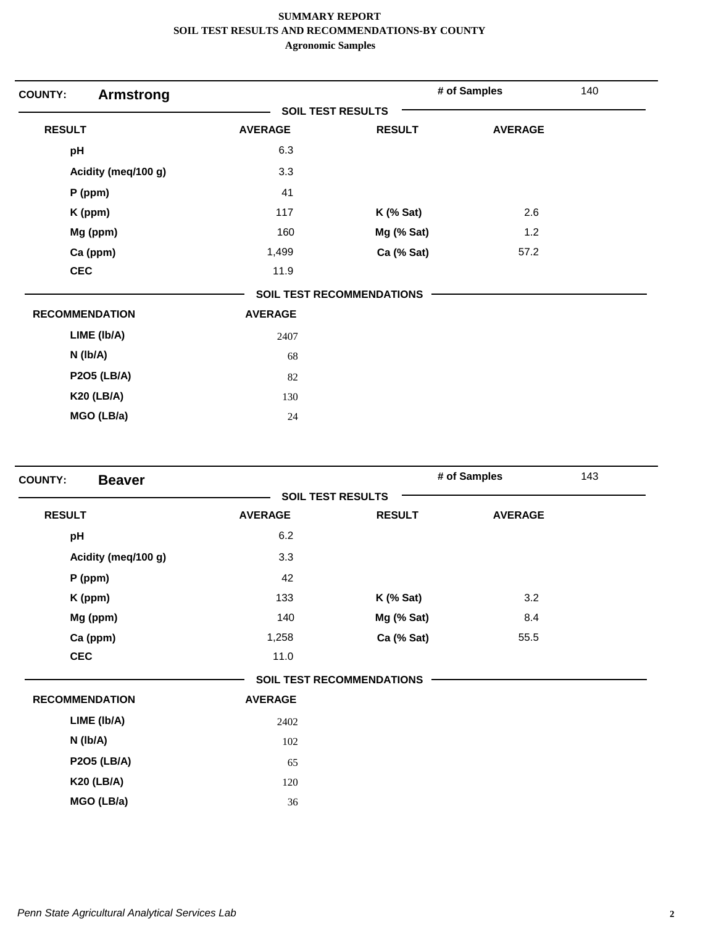| <b>COUNTY:</b><br><b>Armstrong</b> |                          |                                  | # of Samples   | 140 |
|------------------------------------|--------------------------|----------------------------------|----------------|-----|
|                                    | <b>SOIL TEST RESULTS</b> |                                  |                |     |
| <b>RESULT</b>                      | <b>AVERAGE</b>           | <b>RESULT</b>                    | <b>AVERAGE</b> |     |
| pH                                 | 6.3                      |                                  |                |     |
| Acidity (meq/100 g)                | 3.3                      |                                  |                |     |
| $P$ (ppm)                          | 41                       |                                  |                |     |
| K (ppm)                            | 117                      | $K$ (% Sat)                      | 2.6            |     |
| Mg (ppm)                           | 160                      | Mg (% Sat)                       | 1.2            |     |
| Ca (ppm)                           | 1,499                    | Ca (% Sat)                       | 57.2           |     |
| <b>CEC</b>                         | 11.9                     |                                  |                |     |
|                                    |                          | <b>SOIL TEST RECOMMENDATIONS</b> |                |     |
| <b>RECOMMENDATION</b>              | <b>AVERAGE</b>           |                                  |                |     |
| LIME (Ib/A)                        | 2407                     |                                  |                |     |
| N (Ib/A)                           | 68                       |                                  |                |     |
| <b>P2O5 (LB/A)</b>                 | 82                       |                                  |                |     |
| <b>K20 (LB/A)</b>                  | 130                      |                                  |                |     |
| MGO (LB/a)                         | 24                       |                                  |                |     |

| <b>COUNTY:</b><br><b>Beaver</b> |                |                                  | # of Samples   | 143 |
|---------------------------------|----------------|----------------------------------|----------------|-----|
|                                 |                | <b>SOIL TEST RESULTS</b>         |                |     |
| <b>RESULT</b>                   | <b>AVERAGE</b> | <b>RESULT</b>                    | <b>AVERAGE</b> |     |
| pH                              | 6.2            |                                  |                |     |
| Acidity (meq/100 g)             | 3.3            |                                  |                |     |
| P (ppm)                         | 42             |                                  |                |     |
| K (ppm)                         | 133            | $K$ (% Sat)                      | 3.2            |     |
| Mg (ppm)                        | 140            | Mg (% Sat)                       | 8.4            |     |
| Ca (ppm)                        | 1,258          | Ca (% Sat)                       | 55.5           |     |
| <b>CEC</b>                      | 11.0           |                                  |                |     |
|                                 |                | <b>SOIL TEST RECOMMENDATIONS</b> |                |     |
| <b>RECOMMENDATION</b>           | <b>AVERAGE</b> |                                  |                |     |
| LIME (Ib/A)                     | 2402           |                                  |                |     |
| N (Ib/A)                        | 102            |                                  |                |     |
| <b>P2O5 (LB/A)</b>              | 65             |                                  |                |     |
| <b>K20 (LB/A)</b>               | 120            |                                  |                |     |
| MGO (LB/a)                      | 36             |                                  |                |     |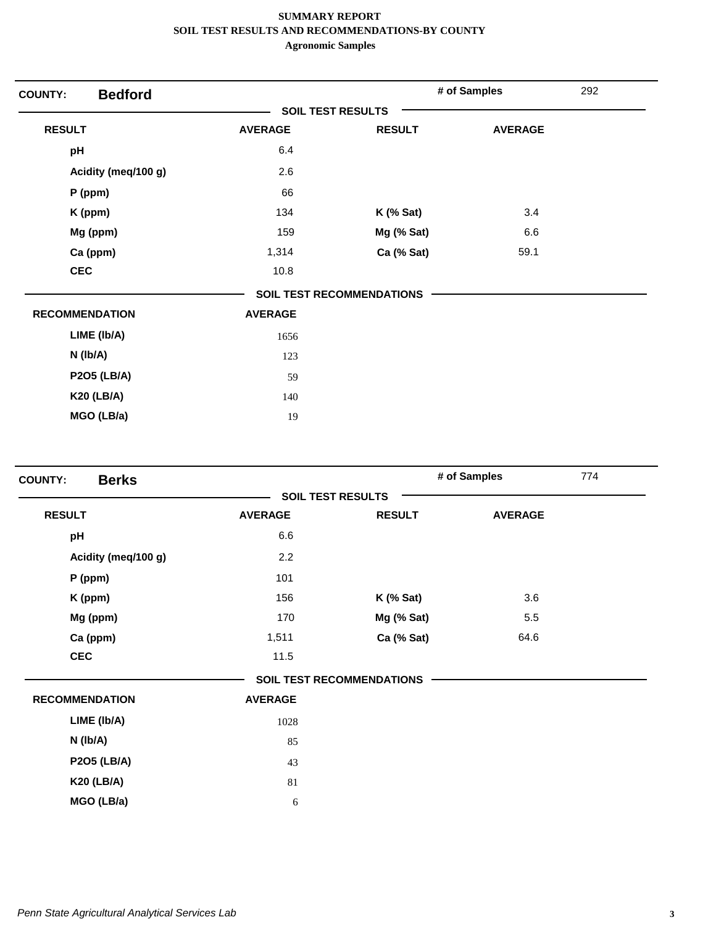| <b>COUNTY:</b>        | <b>Bedford</b>      |                          |                           | # of Samples   | 292 |
|-----------------------|---------------------|--------------------------|---------------------------|----------------|-----|
|                       |                     | <b>SOIL TEST RESULTS</b> |                           |                |     |
| <b>RESULT</b>         |                     | <b>AVERAGE</b>           | <b>RESULT</b>             | <b>AVERAGE</b> |     |
| pH                    |                     | 6.4                      |                           |                |     |
|                       | Acidity (meq/100 g) | 2.6                      |                           |                |     |
| $P$ (ppm)             |                     | 66                       |                           |                |     |
| K (ppm)               |                     | 134                      | <b>K</b> (% Sat)          | 3.4            |     |
|                       | Mg (ppm)            | 159                      | Mg (% Sat)                | 6.6            |     |
|                       | Ca (ppm)            | 1,314                    | Ca (% Sat)                | 59.1           |     |
| <b>CEC</b>            |                     | 10.8                     |                           |                |     |
|                       |                     |                          | SOIL TEST RECOMMENDATIONS |                |     |
| <b>RECOMMENDATION</b> |                     | <b>AVERAGE</b>           |                           |                |     |
|                       | LIME (Ib/A)         | 1656                     |                           |                |     |
| $N$ (lb/A)            |                     | 123                      |                           |                |     |
|                       | <b>P2O5 (LB/A)</b>  | 59                       |                           |                |     |
|                       | <b>K20 (LB/A)</b>   | 140                      |                           |                |     |
|                       | MGO (LB/a)          | 19                       |                           |                |     |

| <b>Berks</b><br><b>COUNTY:</b> |                |                                  | # of Samples   | 774 |
|--------------------------------|----------------|----------------------------------|----------------|-----|
|                                |                | <b>SOIL TEST RESULTS</b>         |                |     |
| <b>RESULT</b>                  | <b>AVERAGE</b> | <b>RESULT</b>                    | <b>AVERAGE</b> |     |
| pH                             | 6.6            |                                  |                |     |
| Acidity (meq/100 g)            | 2.2            |                                  |                |     |
| P (ppm)                        | 101            |                                  |                |     |
| K (ppm)                        | 156            | $K$ (% Sat)                      | 3.6            |     |
| Mg (ppm)                       | 170            | Mg (% Sat)                       | 5.5            |     |
| Ca (ppm)                       | 1,511          | Ca (% Sat)                       | 64.6           |     |
| <b>CEC</b>                     | 11.5           |                                  |                |     |
|                                |                | <b>SOIL TEST RECOMMENDATIONS</b> |                |     |
| <b>RECOMMENDATION</b>          | <b>AVERAGE</b> |                                  |                |     |
| LIME (Ib/A)                    | 1028           |                                  |                |     |
| N (Ib/A)                       | 85             |                                  |                |     |
| <b>P2O5 (LB/A)</b>             | 43             |                                  |                |     |
| <b>K20 (LB/A)</b>              | 81             |                                  |                |     |
| MGO (LB/a)                     | 6              |                                  |                |     |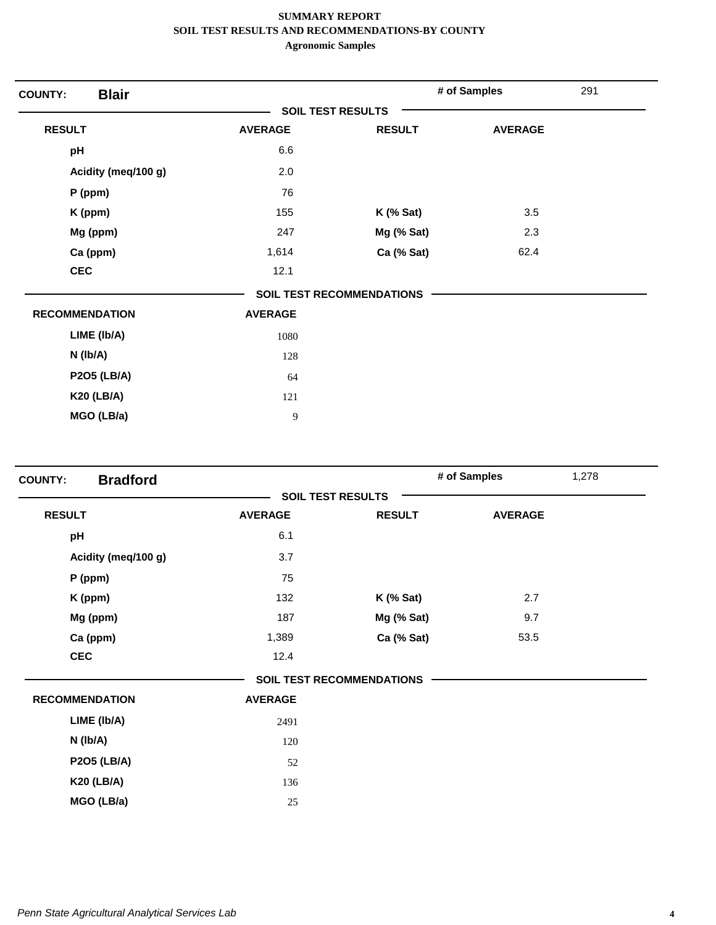| <b>Blair</b><br><b>COUNTY:</b> |                          |                                  | # of Samples   | 291 |
|--------------------------------|--------------------------|----------------------------------|----------------|-----|
|                                | <b>SOIL TEST RESULTS</b> |                                  |                |     |
| <b>RESULT</b>                  | <b>AVERAGE</b>           | <b>RESULT</b>                    | <b>AVERAGE</b> |     |
| pH                             | 6.6                      |                                  |                |     |
| Acidity (meq/100 g)            | 2.0                      |                                  |                |     |
| $P$ (ppm)                      | 76                       |                                  |                |     |
| K (ppm)                        | 155                      | $K$ (% Sat)                      | 3.5            |     |
| Mg (ppm)                       | 247                      | Mg (% Sat)                       | 2.3            |     |
| Ca (ppm)                       | 1,614                    | Ca (% Sat)                       | 62.4           |     |
| <b>CEC</b>                     | 12.1                     |                                  |                |     |
|                                |                          | <b>SOIL TEST RECOMMENDATIONS</b> |                |     |
| <b>RECOMMENDATION</b>          | <b>AVERAGE</b>           |                                  |                |     |
| LIME (Ib/A)                    | 1080                     |                                  |                |     |
| N (Ib/A)                       | 128                      |                                  |                |     |
| <b>P2O5 (LB/A)</b>             | 64                       |                                  |                |     |
| <b>K20 (LB/A)</b>              | 121                      |                                  |                |     |
| MGO (LB/a)                     | 9                        |                                  |                |     |

| <b>Bradford</b><br><b>COUNTY:</b> |                |                                  | # of Samples<br>1,278 |  |
|-----------------------------------|----------------|----------------------------------|-----------------------|--|
|                                   |                | <b>SOIL TEST RESULTS</b>         |                       |  |
| <b>RESULT</b>                     | <b>AVERAGE</b> | <b>RESULT</b>                    | <b>AVERAGE</b>        |  |
| pH                                | 6.1            |                                  |                       |  |
| Acidity (meq/100 g)               | 3.7            |                                  |                       |  |
| P (ppm)                           | 75             |                                  |                       |  |
| K (ppm)                           | 132            | <b>K</b> (% Sat)                 | 2.7                   |  |
| Mg (ppm)                          | 187            | Mg (% Sat)                       | 9.7                   |  |
| Ca (ppm)                          | 1,389          | Ca (% Sat)                       | 53.5                  |  |
| <b>CEC</b>                        | 12.4           |                                  |                       |  |
|                                   |                | <b>SOIL TEST RECOMMENDATIONS</b> |                       |  |
| <b>RECOMMENDATION</b>             | <b>AVERAGE</b> |                                  |                       |  |
| LIME (Ib/A)                       | 2491           |                                  |                       |  |
| $N$ (lb/A)                        | 120            |                                  |                       |  |
| <b>P2O5 (LB/A)</b>                | 52             |                                  |                       |  |
| <b>K20 (LB/A)</b>                 | 136            |                                  |                       |  |
| MGO (LB/a)                        | 25             |                                  |                       |  |
|                                   |                |                                  |                       |  |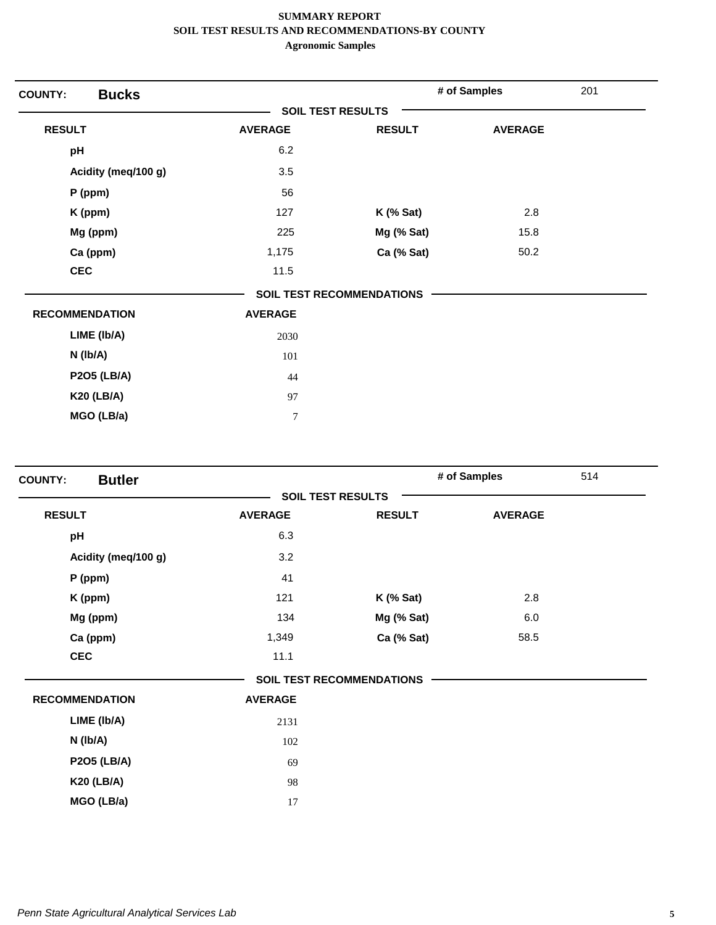| <b>Bucks</b><br><b>COUNTY:</b> |                          |                                  | # of Samples   | 201 |
|--------------------------------|--------------------------|----------------------------------|----------------|-----|
|                                | <b>SOIL TEST RESULTS</b> |                                  |                |     |
| <b>RESULT</b>                  | <b>AVERAGE</b>           | <b>RESULT</b>                    | <b>AVERAGE</b> |     |
| pH                             | 6.2                      |                                  |                |     |
| Acidity (meq/100 g)            | 3.5                      |                                  |                |     |
| $P$ (ppm)                      | 56                       |                                  |                |     |
| K (ppm)                        | 127                      | $K$ (% Sat)                      | 2.8            |     |
| Mg (ppm)                       | 225                      | Mg (% Sat)                       | 15.8           |     |
| Ca (ppm)                       | 1,175                    | Ca (% Sat)                       | 50.2           |     |
| <b>CEC</b>                     | 11.5                     |                                  |                |     |
|                                |                          | <b>SOIL TEST RECOMMENDATIONS</b> |                |     |
| <b>RECOMMENDATION</b>          | <b>AVERAGE</b>           |                                  |                |     |
| LIME (Ib/A)                    | 2030                     |                                  |                |     |
| N (Ib/A)                       | 101                      |                                  |                |     |
| <b>P2O5 (LB/A)</b>             | 44                       |                                  |                |     |
| <b>K20 (LB/A)</b>              | 97                       |                                  |                |     |
| MGO (LB/a)                     | $\overline{7}$           |                                  |                |     |

| <b>Butler</b><br><b>COUNTY:</b> |                |                                  | # of Samples   | 514 |
|---------------------------------|----------------|----------------------------------|----------------|-----|
|                                 |                | <b>SOIL TEST RESULTS</b>         |                |     |
| <b>RESULT</b>                   | <b>AVERAGE</b> | <b>RESULT</b>                    | <b>AVERAGE</b> |     |
| pH                              | 6.3            |                                  |                |     |
| Acidity (meq/100 g)             | 3.2            |                                  |                |     |
| P (ppm)                         | 41             |                                  |                |     |
| K (ppm)                         | 121            | $K$ (% Sat)                      | 2.8            |     |
| Mg (ppm)                        | 134            | Mg (% Sat)                       | 6.0            |     |
| Ca (ppm)                        | 1,349          | Ca (% Sat)                       | 58.5           |     |
| <b>CEC</b>                      | 11.1           |                                  |                |     |
|                                 |                | <b>SOIL TEST RECOMMENDATIONS</b> |                |     |
| <b>RECOMMENDATION</b>           | <b>AVERAGE</b> |                                  |                |     |
| LIME (Ib/A)                     | 2131           |                                  |                |     |
| N (Ib/A)                        | 102            |                                  |                |     |
| <b>P2O5 (LB/A)</b>              | 69             |                                  |                |     |
| <b>K20 (LB/A)</b>               | 98             |                                  |                |     |
| MGO (LB/a)                      | 17             |                                  |                |     |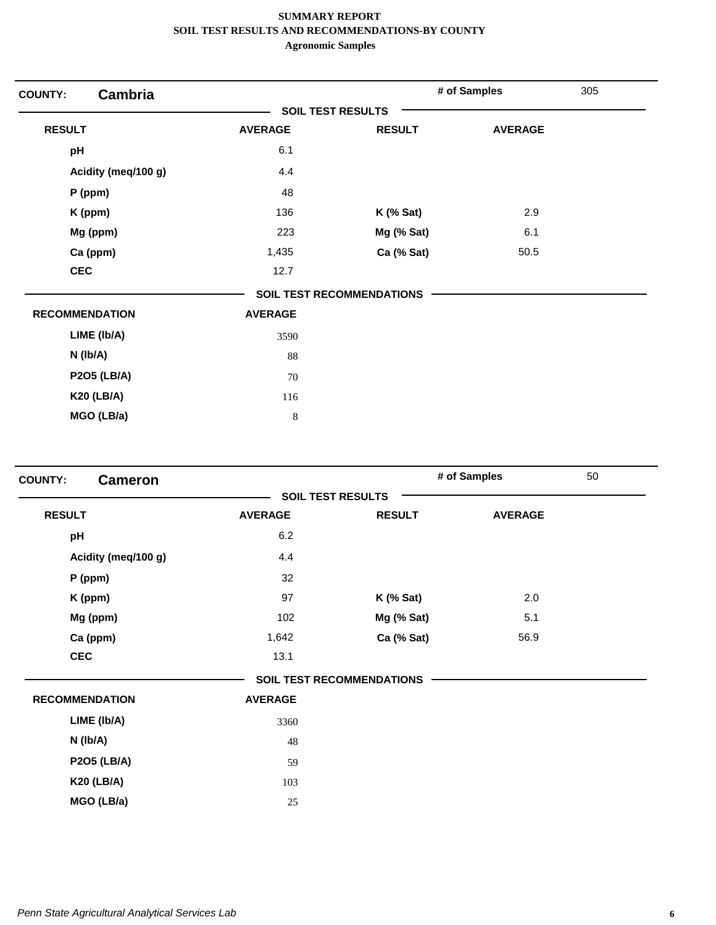| <b>COUNTY:</b>        | <b>Cambria</b>      |                          |                                  | # of Samples   | 305 |
|-----------------------|---------------------|--------------------------|----------------------------------|----------------|-----|
|                       |                     | <b>SOIL TEST RESULTS</b> |                                  |                |     |
| <b>RESULT</b>         |                     | <b>AVERAGE</b>           | <b>RESULT</b>                    | <b>AVERAGE</b> |     |
| pH                    |                     | 6.1                      |                                  |                |     |
|                       | Acidity (meq/100 g) | 4.4                      |                                  |                |     |
| $P$ (ppm)             |                     | 48                       |                                  |                |     |
| K (ppm)               |                     | 136                      | <b>K</b> (% Sat)                 | 2.9            |     |
| Mg (ppm)              |                     | 223                      | Mg (% Sat)                       | 6.1            |     |
| Ca (ppm)              |                     | 1,435                    | Ca (% Sat)                       | 50.5           |     |
| <b>CEC</b>            |                     | 12.7                     |                                  |                |     |
|                       |                     |                          | <b>SOIL TEST RECOMMENDATIONS</b> |                |     |
| <b>RECOMMENDATION</b> |                     | <b>AVERAGE</b>           |                                  |                |     |
|                       | LIME (Ib/A)         | 3590                     |                                  |                |     |
| $N$ (lb/A)            |                     | 88                       |                                  |                |     |
|                       | <b>P2O5 (LB/A)</b>  | 70                       |                                  |                |     |
|                       | <b>K20 (LB/A)</b>   | 116                      |                                  |                |     |
|                       | MGO (LB/a)          | $\,8\,$                  |                                  |                |     |

| <b>COUNTY:</b><br><b>Cameron</b> |                |                                  | # of Samples   | 50 |
|----------------------------------|----------------|----------------------------------|----------------|----|
|                                  |                | <b>SOIL TEST RESULTS</b>         |                |    |
| <b>RESULT</b>                    | <b>AVERAGE</b> | <b>RESULT</b>                    | <b>AVERAGE</b> |    |
| pH                               | 6.2            |                                  |                |    |
| Acidity (meq/100 g)              | 4.4            |                                  |                |    |
| P (ppm)                          | 32             |                                  |                |    |
| K (ppm)                          | 97             | <b>K</b> (% Sat)                 | 2.0            |    |
| Mg (ppm)                         | 102            | Mg (% Sat)                       | 5.1            |    |
| Ca (ppm)                         | 1,642          | Ca (% Sat)                       | 56.9           |    |
| <b>CEC</b>                       | 13.1           |                                  |                |    |
|                                  |                | <b>SOIL TEST RECOMMENDATIONS</b> |                |    |
| <b>RECOMMENDATION</b>            | <b>AVERAGE</b> |                                  |                |    |
| LIME (Ib/A)                      | 3360           |                                  |                |    |
| N (Ib/A)                         | 48             |                                  |                |    |
| <b>P2O5 (LB/A)</b>               | 59             |                                  |                |    |
| <b>K20 (LB/A)</b>                | 103            |                                  |                |    |
| MGO (LB/a)                       | 25             |                                  |                |    |
|                                  |                |                                  |                |    |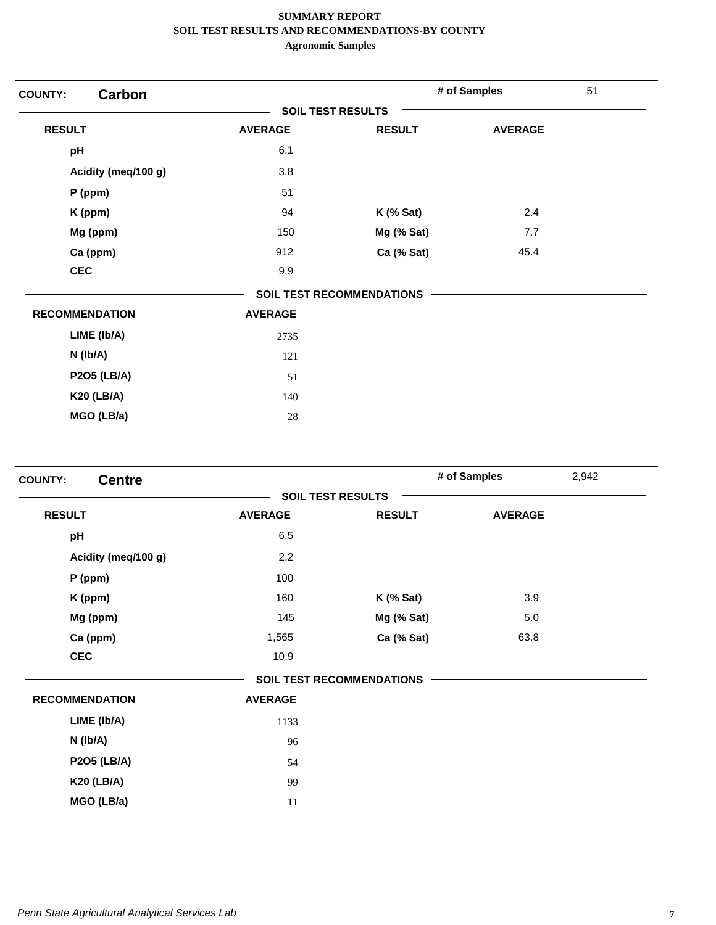| <b>Carbon</b><br><b>COUNTY:</b> |                          |                                  | # of Samples   | 51 |
|---------------------------------|--------------------------|----------------------------------|----------------|----|
|                                 | <b>SOIL TEST RESULTS</b> |                                  |                |    |
| <b>RESULT</b>                   | <b>AVERAGE</b>           | <b>RESULT</b>                    | <b>AVERAGE</b> |    |
| pH                              | 6.1                      |                                  |                |    |
| Acidity (meq/100 g)             | 3.8                      |                                  |                |    |
| P (ppm)                         | 51                       |                                  |                |    |
| K (ppm)                         | 94                       | $K$ (% Sat)                      | 2.4            |    |
| Mg (ppm)                        | 150                      | Mg (% Sat)                       | 7.7            |    |
| Ca (ppm)                        | 912                      | Ca (% Sat)                       | 45.4           |    |
| <b>CEC</b>                      | 9.9                      |                                  |                |    |
|                                 |                          | <b>SOIL TEST RECOMMENDATIONS</b> |                |    |
| <b>RECOMMENDATION</b>           | <b>AVERAGE</b>           |                                  |                |    |
| LIME (Ib/A)                     | 2735                     |                                  |                |    |
| N (Ib/A)                        | 121                      |                                  |                |    |
| <b>P2O5 (LB/A)</b>              | 51                       |                                  |                |    |
| <b>K20 (LB/A)</b>               | 140                      |                                  |                |    |
| MGO (LB/a)                      | 28                       |                                  |                |    |

| <b>AVERAGE</b> | <b>RESULT</b> | <b>AVERAGE</b>                                               |                       |
|----------------|---------------|--------------------------------------------------------------|-----------------------|
| 6.5            |               |                                                              |                       |
| 2.2            |               |                                                              |                       |
| 100            |               |                                                              |                       |
| 160            | $K$ (% Sat)   | 3.9                                                          |                       |
| 145            | Mg (% Sat)    | 5.0                                                          |                       |
| 1,565          | Ca (% Sat)    | 63.8                                                         |                       |
| 10.9           |               |                                                              |                       |
|                |               |                                                              |                       |
| <b>AVERAGE</b> |               |                                                              |                       |
| 1133           |               |                                                              |                       |
| 96             |               |                                                              |                       |
| 54             |               |                                                              |                       |
| 99             |               |                                                              |                       |
| 11             |               |                                                              |                       |
|                |               | <b>SOIL TEST RESULTS</b><br><b>SOIL TEST RECOMMENDATIONS</b> | # of Samples<br>2,942 |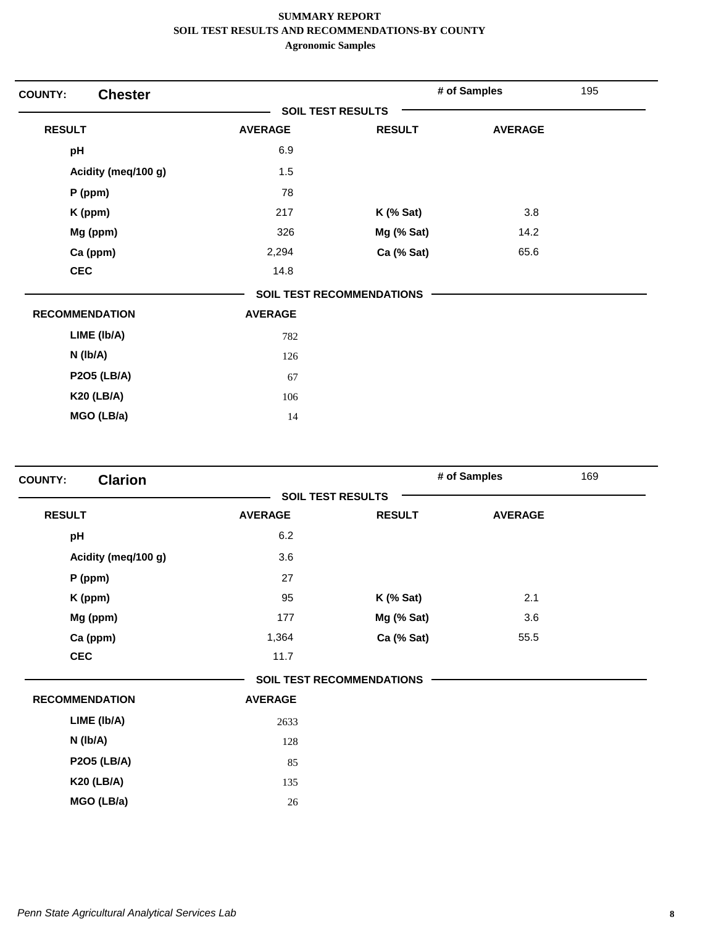| <b>Chester</b><br><b>COUNTY:</b> |                          |                                  | # of Samples   | 195 |
|----------------------------------|--------------------------|----------------------------------|----------------|-----|
|                                  | <b>SOIL TEST RESULTS</b> |                                  |                |     |
| <b>RESULT</b>                    | <b>AVERAGE</b>           | <b>RESULT</b>                    | <b>AVERAGE</b> |     |
| pH                               | 6.9                      |                                  |                |     |
| Acidity (meq/100 g)              | 1.5                      |                                  |                |     |
| P (ppm)                          | 78                       |                                  |                |     |
| K (ppm)                          | 217                      | <b>K</b> (% Sat)                 | 3.8            |     |
| Mg (ppm)                         | 326                      | Mg (% Sat)                       | 14.2           |     |
| Ca (ppm)                         | 2,294                    | Ca (% Sat)                       | 65.6           |     |
| <b>CEC</b>                       | 14.8                     |                                  |                |     |
|                                  |                          | <b>SOIL TEST RECOMMENDATIONS</b> |                |     |
| <b>RECOMMENDATION</b>            | <b>AVERAGE</b>           |                                  |                |     |
| LIME (Ib/A)                      | 782                      |                                  |                |     |
| N (Ib/A)                         | 126                      |                                  |                |     |
| <b>P2O5 (LB/A)</b>               | 67                       |                                  |                |     |
| <b>K20 (LB/A)</b>                | 106                      |                                  |                |     |
| MGO (LB/a)                       | 14                       |                                  |                |     |

| <b>Clarion</b><br><b>COUNTY:</b> |                |                                  | # of Samples   | 169 |
|----------------------------------|----------------|----------------------------------|----------------|-----|
|                                  |                | <b>SOIL TEST RESULTS</b>         |                |     |
| <b>RESULT</b>                    | <b>AVERAGE</b> | <b>RESULT</b>                    | <b>AVERAGE</b> |     |
| pH                               | 6.2            |                                  |                |     |
| Acidity (meq/100 g)              | 3.6            |                                  |                |     |
| $P$ (ppm)                        | 27             |                                  |                |     |
| K (ppm)                          | 95             | $K$ (% Sat)                      | 2.1            |     |
| Mg (ppm)                         | 177            | Mg (% Sat)                       | 3.6            |     |
| Ca (ppm)                         | 1,364          | Ca (% Sat)                       | 55.5           |     |
| <b>CEC</b>                       | 11.7           |                                  |                |     |
|                                  |                | <b>SOIL TEST RECOMMENDATIONS</b> |                |     |
| <b>RECOMMENDATION</b>            | <b>AVERAGE</b> |                                  |                |     |
| LIME (Ib/A)                      | 2633           |                                  |                |     |
| N (Ib/A)                         | 128            |                                  |                |     |
| <b>P2O5 (LB/A)</b>               | 85             |                                  |                |     |
| <b>K20 (LB/A)</b>                | 135            |                                  |                |     |
| MGO (LB/a)                       | 26             |                                  |                |     |
|                                  |                |                                  |                |     |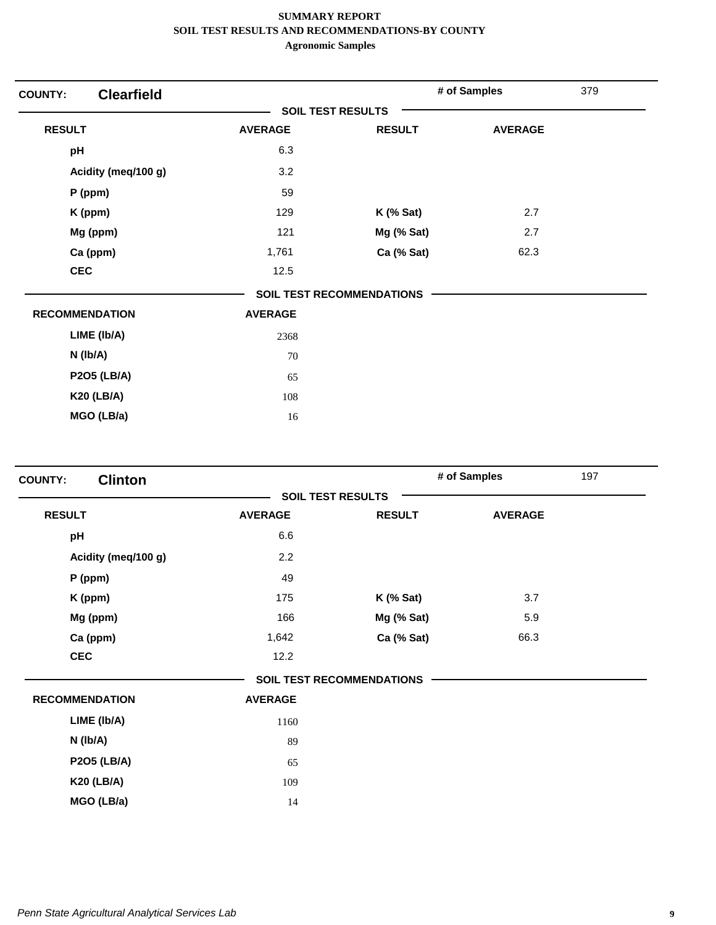| <b>COUNTY:</b> | <b>Clearfield</b>     |                |                                  | # of Samples   | 379 |
|----------------|-----------------------|----------------|----------------------------------|----------------|-----|
|                |                       |                | <b>SOIL TEST RESULTS</b>         |                |     |
| <b>RESULT</b>  |                       | <b>AVERAGE</b> | <b>RESULT</b>                    | <b>AVERAGE</b> |     |
| pH             |                       | 6.3            |                                  |                |     |
|                | Acidity (meq/100 g)   | 3.2            |                                  |                |     |
|                | P (ppm)               | 59             |                                  |                |     |
|                | K (ppm)               | 129            | $K$ (% Sat)                      | 2.7            |     |
|                | Mg (ppm)              | 121            | Mg (% Sat)                       | 2.7            |     |
|                | Ca (ppm)              | 1,761          | Ca (% Sat)                       | 62.3           |     |
| <b>CEC</b>     |                       | 12.5           |                                  |                |     |
|                |                       |                | <b>SOIL TEST RECOMMENDATIONS</b> |                |     |
|                | <b>RECOMMENDATION</b> | <b>AVERAGE</b> |                                  |                |     |
|                | LIME (Ib/A)           | 2368           |                                  |                |     |
|                | N (Ib/A)              | 70             |                                  |                |     |
|                | <b>P2O5 (LB/A)</b>    | 65             |                                  |                |     |
|                | <b>K20 (LB/A)</b>     | 108            |                                  |                |     |
|                | MGO (LB/a)            | 16             |                                  |                |     |

| <b>Clinton</b><br><b>COUNTY:</b> |                |                                  | # of Samples   | 197 |
|----------------------------------|----------------|----------------------------------|----------------|-----|
|                                  |                | <b>SOIL TEST RESULTS</b>         |                |     |
| <b>RESULT</b>                    | <b>AVERAGE</b> | <b>RESULT</b>                    | <b>AVERAGE</b> |     |
| pH                               | 6.6            |                                  |                |     |
| Acidity (meq/100 g)              | 2.2            |                                  |                |     |
| $P$ (ppm)                        | 49             |                                  |                |     |
| K (ppm)                          | 175            | <b>K</b> (% Sat)                 | 3.7            |     |
| Mg (ppm)                         | 166            | Mg (% Sat)                       | 5.9            |     |
| Ca (ppm)                         | 1,642          | Ca (% Sat)                       | 66.3           |     |
| <b>CEC</b>                       | 12.2           |                                  |                |     |
|                                  |                | <b>SOIL TEST RECOMMENDATIONS</b> |                |     |
| <b>RECOMMENDATION</b>            | <b>AVERAGE</b> |                                  |                |     |
| LIME (Ib/A)                      | 1160           |                                  |                |     |
| N (Ib/A)                         | 89             |                                  |                |     |
| <b>P2O5 (LB/A)</b>               | 65             |                                  |                |     |
| <b>K20 (LB/A)</b>                | 109            |                                  |                |     |
| MGO (LB/a)                       | 14             |                                  |                |     |
|                                  |                |                                  |                |     |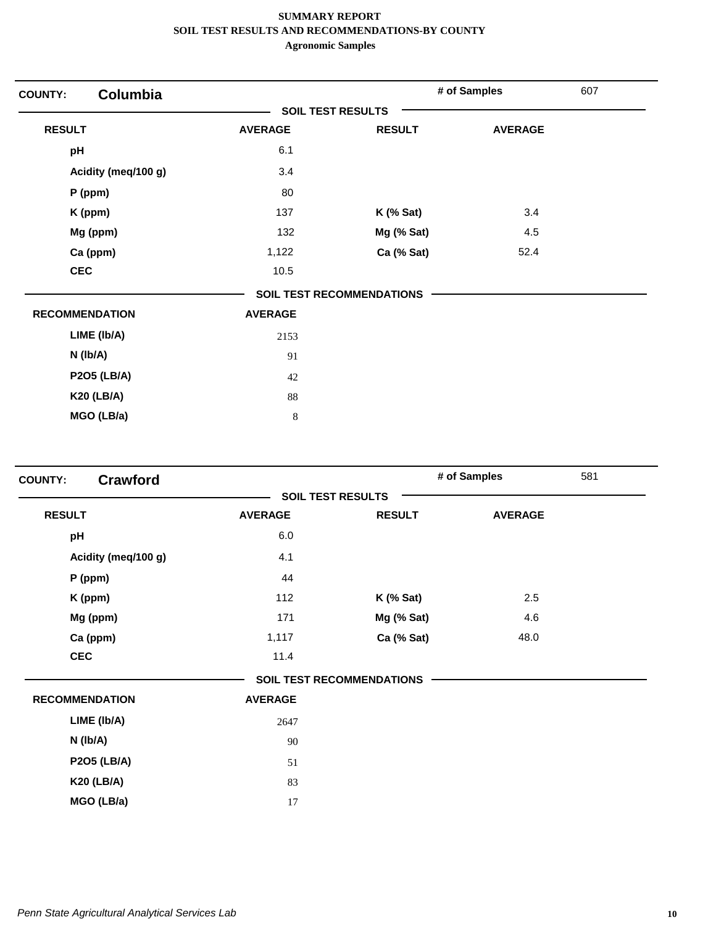| <b>COUNTY:</b>        | Columbia            |                          |                           | # of Samples   | 607 |
|-----------------------|---------------------|--------------------------|---------------------------|----------------|-----|
|                       |                     | <b>SOIL TEST RESULTS</b> |                           |                |     |
| <b>RESULT</b>         |                     | <b>AVERAGE</b>           | <b>RESULT</b>             | <b>AVERAGE</b> |     |
| pH                    |                     | 6.1                      |                           |                |     |
|                       | Acidity (meq/100 g) | 3.4                      |                           |                |     |
| $P$ (ppm)             |                     | 80                       |                           |                |     |
| K (ppm)               |                     | 137                      | $K$ (% Sat)               | 3.4            |     |
|                       | Mg (ppm)            | 132                      | Mg (% Sat)                | 4.5            |     |
| Ca (ppm)              |                     | 1,122                    | Ca (% Sat)                | 52.4           |     |
| <b>CEC</b>            |                     | 10.5                     |                           |                |     |
|                       |                     |                          | SOIL TEST RECOMMENDATIONS |                |     |
| <b>RECOMMENDATION</b> |                     | <b>AVERAGE</b>           |                           |                |     |
|                       | LIME (Ib/A)         | 2153                     |                           |                |     |
| N (Ib/A)              |                     | 91                       |                           |                |     |
|                       | <b>P2O5 (LB/A)</b>  | 42                       |                           |                |     |
|                       | <b>K20 (LB/A)</b>   | 88                       |                           |                |     |
|                       | MGO (LB/a)          | 8                        |                           |                |     |

| <b>COUNTY:</b> | <b>Crawford</b>       |                |                                  | # of Samples   | 581 |
|----------------|-----------------------|----------------|----------------------------------|----------------|-----|
|                |                       |                | <b>SOIL TEST RESULTS</b>         |                |     |
| <b>RESULT</b>  |                       | <b>AVERAGE</b> | <b>RESULT</b>                    | <b>AVERAGE</b> |     |
| pH             |                       | 6.0            |                                  |                |     |
|                | Acidity (meq/100 g)   | 4.1            |                                  |                |     |
|                | P (ppm)               | 44             |                                  |                |     |
|                | K (ppm)               | 112            | <b>K</b> (% Sat)                 | 2.5            |     |
|                | Mg (ppm)              | 171            | Mg (% Sat)                       | 4.6            |     |
|                | Ca (ppm)              | 1,117          | Ca (% Sat)                       | 48.0           |     |
| <b>CEC</b>     |                       | 11.4           |                                  |                |     |
|                |                       |                | <b>SOIL TEST RECOMMENDATIONS</b> |                |     |
|                | <b>RECOMMENDATION</b> | <b>AVERAGE</b> |                                  |                |     |
|                | LIME (Ib/A)           | 2647           |                                  |                |     |
|                | N (Ib/A)              | 90             |                                  |                |     |
|                | <b>P2O5 (LB/A)</b>    | 51             |                                  |                |     |
|                | <b>K20 (LB/A)</b>     | 83             |                                  |                |     |
|                | MGO (LB/a)            | 17             |                                  |                |     |
|                |                       |                |                                  |                |     |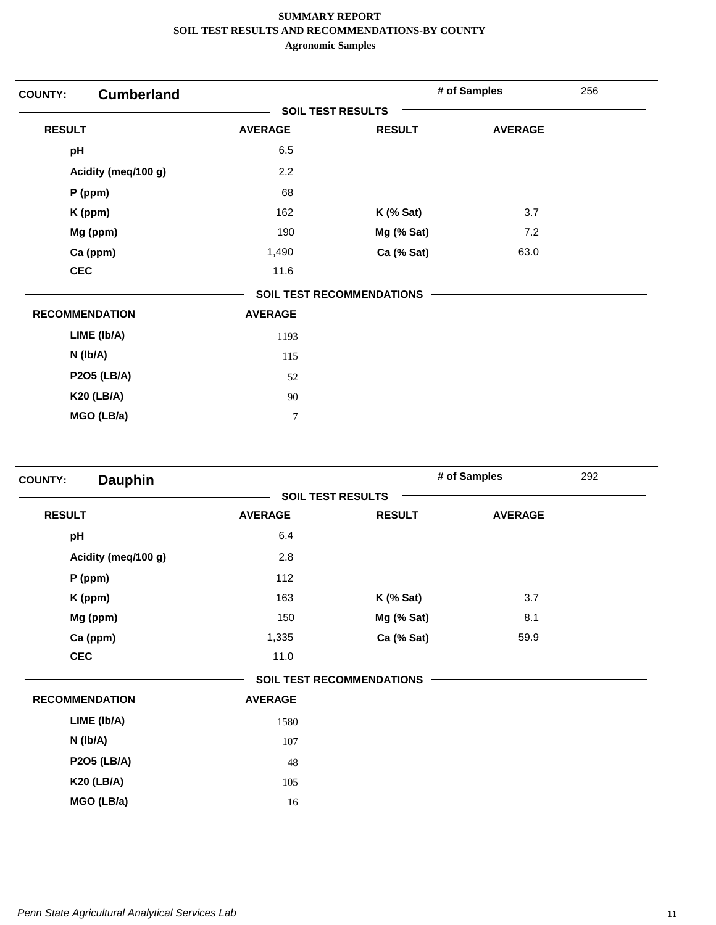| <b>COUNTY:</b>        | <b>Cumberland</b> |                          |                                  | # of Samples   | 256 |
|-----------------------|-------------------|--------------------------|----------------------------------|----------------|-----|
|                       |                   | <b>SOIL TEST RESULTS</b> |                                  |                |     |
| <b>RESULT</b>         |                   | <b>AVERAGE</b>           | <b>RESULT</b>                    | <b>AVERAGE</b> |     |
| pH                    |                   | 6.5                      |                                  |                |     |
| Acidity (meq/100 g)   |                   | 2.2                      |                                  |                |     |
| $P$ (ppm)             |                   | 68                       |                                  |                |     |
| K (ppm)               |                   | 162                      | $K$ (% Sat)                      | 3.7            |     |
| Mg (ppm)              |                   | 190                      | Mg (% Sat)                       | 7.2            |     |
| Ca (ppm)              |                   | 1,490                    | Ca (% Sat)                       | 63.0           |     |
| <b>CEC</b>            |                   | 11.6                     |                                  |                |     |
|                       |                   |                          | <b>SOIL TEST RECOMMENDATIONS</b> |                |     |
| <b>RECOMMENDATION</b> |                   | <b>AVERAGE</b>           |                                  |                |     |
| LIME (Ib/A)           |                   | 1193                     |                                  |                |     |
| N (Ib/A)              |                   | 115                      |                                  |                |     |
| <b>P2O5 (LB/A)</b>    |                   | 52                       |                                  |                |     |
| <b>K20 (LB/A)</b>     |                   | 90                       |                                  |                |     |
| MGO (LB/a)            |                   | $\boldsymbol{7}$         |                                  |                |     |

| <b>Dauphin</b><br><b>COUNTY:</b> |                |                                  | # of Samples   | 292 |
|----------------------------------|----------------|----------------------------------|----------------|-----|
|                                  |                | <b>SOIL TEST RESULTS</b>         |                |     |
| <b>RESULT</b>                    | <b>AVERAGE</b> | <b>RESULT</b>                    | <b>AVERAGE</b> |     |
| pH                               | 6.4            |                                  |                |     |
| Acidity (meq/100 g)              | 2.8            |                                  |                |     |
| P (ppm)                          | 112            |                                  |                |     |
| K (ppm)                          | 163            | $K$ (% Sat)                      | 3.7            |     |
| Mg (ppm)                         | 150            | Mg (% Sat)                       | 8.1            |     |
| Ca (ppm)                         | 1,335          | Ca (% Sat)                       | 59.9           |     |
| <b>CEC</b>                       | 11.0           |                                  |                |     |
|                                  |                | <b>SOIL TEST RECOMMENDATIONS</b> |                |     |
| <b>RECOMMENDATION</b>            | <b>AVERAGE</b> |                                  |                |     |
| LIME (Ib/A)                      | 1580           |                                  |                |     |
| $N$ (lb/A)                       | 107            |                                  |                |     |
| <b>P2O5 (LB/A)</b>               | 48             |                                  |                |     |
| <b>K20 (LB/A)</b>                | 105            |                                  |                |     |
| MGO (LB/a)                       | 16             |                                  |                |     |
|                                  |                |                                  |                |     |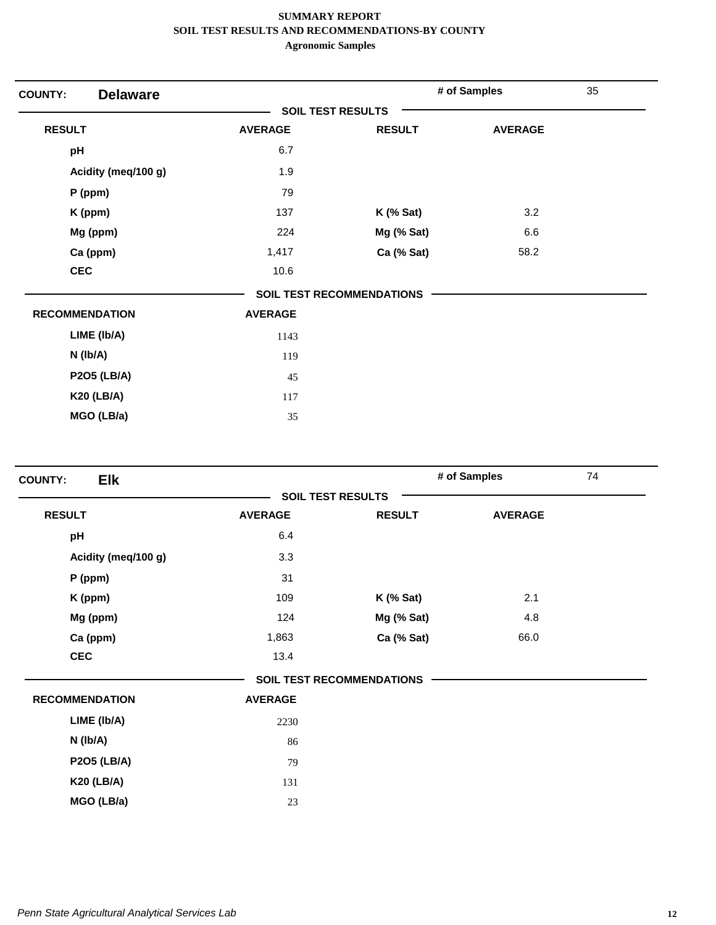| <b>COUNTY:</b> | <b>Delaware</b>       |                |                                  | # of Samples   | 35 |
|----------------|-----------------------|----------------|----------------------------------|----------------|----|
|                |                       |                | <b>SOIL TEST RESULTS</b>         |                |    |
| <b>RESULT</b>  |                       | <b>AVERAGE</b> | <b>RESULT</b>                    | <b>AVERAGE</b> |    |
| pH             |                       | 6.7            |                                  |                |    |
|                | Acidity (meq/100 g)   | 1.9            |                                  |                |    |
|                | $P$ (ppm)             | 79             |                                  |                |    |
|                | K (ppm)               | 137            | $K$ (% Sat)                      | 3.2            |    |
|                | Mg (ppm)              | 224            | Mg (% Sat)                       | 6.6            |    |
|                | Ca (ppm)              | 1,417          | Ca (% Sat)                       | 58.2           |    |
| <b>CEC</b>     |                       | 10.6           |                                  |                |    |
|                |                       |                | <b>SOIL TEST RECOMMENDATIONS</b> |                |    |
|                | <b>RECOMMENDATION</b> | <b>AVERAGE</b> |                                  |                |    |
|                | LIME (Ib/A)           | 1143           |                                  |                |    |
|                | $N$ ( $lb/A$ )        | 119            |                                  |                |    |
|                | <b>P2O5 (LB/A)</b>    | 45             |                                  |                |    |
|                | <b>K20 (LB/A)</b>     | 117            |                                  |                |    |
|                | MGO (LB/a)            | 35             |                                  |                |    |
|                |                       |                |                                  |                |    |

| Elk<br><b>COUNTY:</b> |                |                                  | # of Samples   | 74 |
|-----------------------|----------------|----------------------------------|----------------|----|
|                       |                | <b>SOIL TEST RESULTS</b>         |                |    |
| <b>RESULT</b>         | <b>AVERAGE</b> | <b>RESULT</b>                    | <b>AVERAGE</b> |    |
| pH                    | 6.4            |                                  |                |    |
| Acidity (meq/100 g)   | 3.3            |                                  |                |    |
| P (ppm)               | 31             |                                  |                |    |
| K (ppm)               | 109            | $K$ (% Sat)                      | 2.1            |    |
| Mg (ppm)              | 124            | Mg (% Sat)                       | 4.8            |    |
| Ca (ppm)              | 1,863          | Ca (% Sat)                       | 66.0           |    |
| <b>CEC</b>            | 13.4           |                                  |                |    |
|                       |                | <b>SOIL TEST RECOMMENDATIONS</b> |                |    |
| <b>RECOMMENDATION</b> | <b>AVERAGE</b> |                                  |                |    |
| LIME (Ib/A)           | 2230           |                                  |                |    |
| $N$ (lb/A)            | 86             |                                  |                |    |
| <b>P2O5 (LB/A)</b>    | 79             |                                  |                |    |
| <b>K20 (LB/A)</b>     | 131            |                                  |                |    |
| MGO (LB/a)            | 23             |                                  |                |    |
|                       |                |                                  |                |    |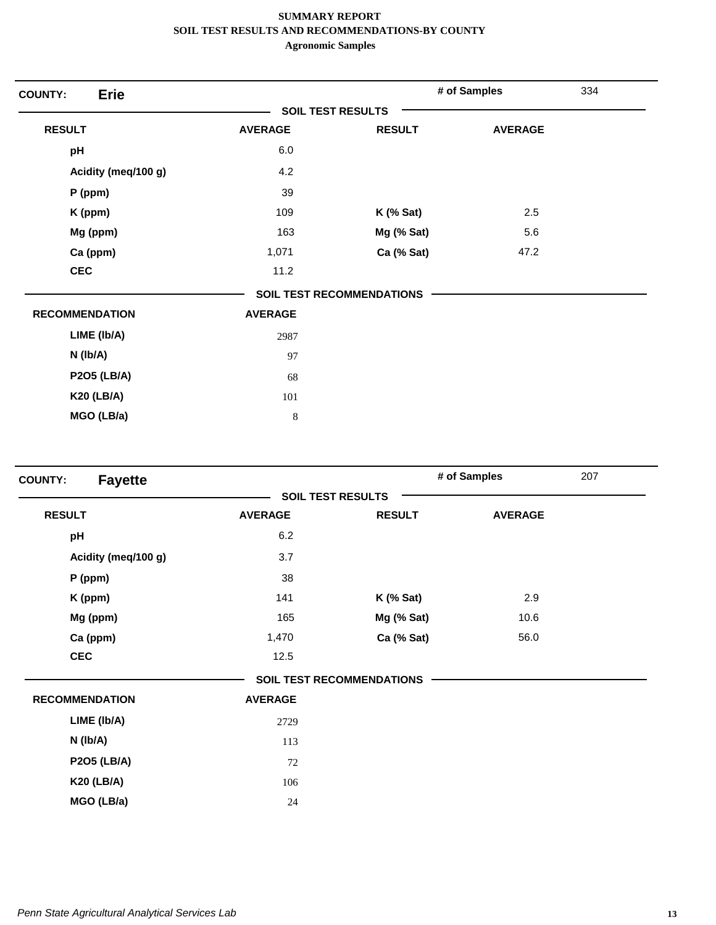| <b>Erie</b><br><b>COUNTY:</b> |                          |                                  | # of Samples   | 334 |
|-------------------------------|--------------------------|----------------------------------|----------------|-----|
|                               | <b>SOIL TEST RESULTS</b> |                                  |                |     |
| <b>RESULT</b>                 | <b>AVERAGE</b>           | <b>RESULT</b>                    | <b>AVERAGE</b> |     |
| pH                            | 6.0                      |                                  |                |     |
| Acidity (meq/100 g)           | 4.2                      |                                  |                |     |
| $P$ (ppm)                     | 39                       |                                  |                |     |
| K (ppm)                       | 109                      | $K$ (% Sat)                      | 2.5            |     |
| Mg (ppm)                      | 163                      | Mg (% Sat)                       | 5.6            |     |
| Ca (ppm)                      | 1,071                    | Ca (% Sat)                       | 47.2           |     |
| <b>CEC</b>                    | 11.2                     |                                  |                |     |
|                               |                          | <b>SOIL TEST RECOMMENDATIONS</b> |                |     |
| <b>RECOMMENDATION</b>         | <b>AVERAGE</b>           |                                  |                |     |
| LIME (Ib/A)                   | 2987                     |                                  |                |     |
| $N$ ( $lb/A$ )                | 97                       |                                  |                |     |
| <b>P2O5 (LB/A)</b>            | 68                       |                                  |                |     |
| <b>K20 (LB/A)</b>             | 101                      |                                  |                |     |
| MGO (LB/a)                    | $\,8\,$                  |                                  |                |     |

| <b>Fayette</b><br><b>COUNTY:</b> |                |                                  | # of Samples   | 207 |
|----------------------------------|----------------|----------------------------------|----------------|-----|
|                                  |                | <b>SOIL TEST RESULTS</b>         |                |     |
| <b>RESULT</b>                    | <b>AVERAGE</b> | <b>RESULT</b>                    | <b>AVERAGE</b> |     |
| pH                               | 6.2            |                                  |                |     |
| Acidity (meq/100 g)              | 3.7            |                                  |                |     |
| P (ppm)                          | 38             |                                  |                |     |
| K (ppm)                          | 141            | $K$ (% Sat)                      | 2.9            |     |
| Mg (ppm)                         | 165            | Mg (% Sat)                       | 10.6           |     |
| Ca (ppm)                         | 1,470          | Ca (% Sat)                       | 56.0           |     |
| <b>CEC</b>                       | 12.5           |                                  |                |     |
|                                  |                | <b>SOIL TEST RECOMMENDATIONS</b> |                |     |
| <b>RECOMMENDATION</b>            | <b>AVERAGE</b> |                                  |                |     |
| LIME (Ib/A)                      | 2729           |                                  |                |     |
| N (Ib/A)                         | 113            |                                  |                |     |
| <b>P2O5 (LB/A)</b>               | 72             |                                  |                |     |
| <b>K20 (LB/A)</b>                | 106            |                                  |                |     |
| MGO (LB/a)                       | 24             |                                  |                |     |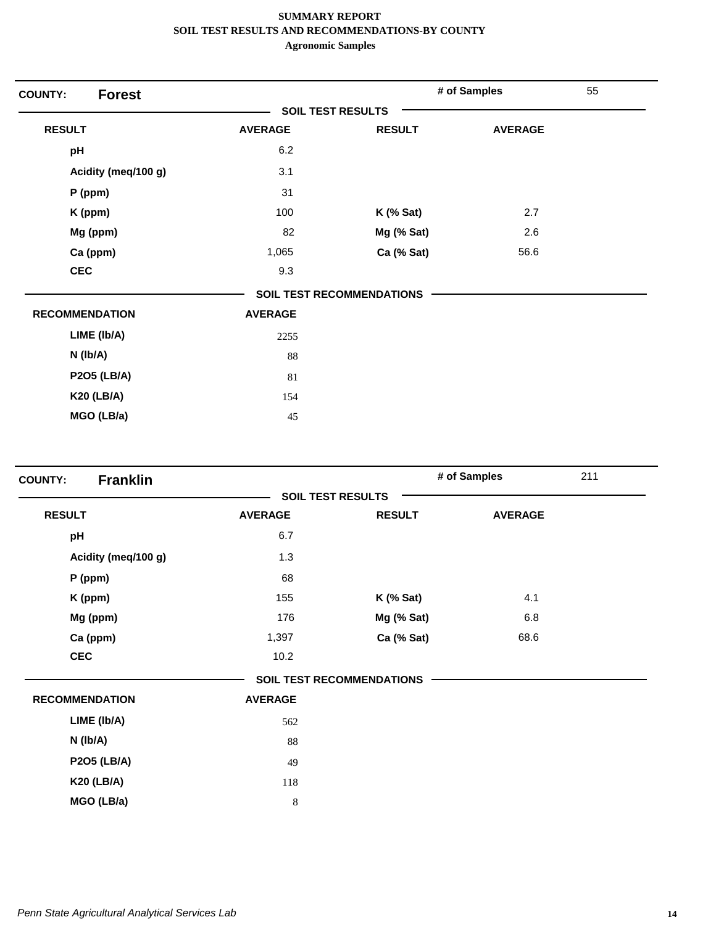| <b>Forest</b><br><b>COUNTY:</b> |                          |                                  | # of Samples   | 55 |
|---------------------------------|--------------------------|----------------------------------|----------------|----|
|                                 | <b>SOIL TEST RESULTS</b> |                                  |                |    |
| <b>RESULT</b>                   | <b>AVERAGE</b>           | <b>RESULT</b>                    | <b>AVERAGE</b> |    |
| pH                              | 6.2                      |                                  |                |    |
| Acidity (meq/100 g)             | 3.1                      |                                  |                |    |
| $P$ (ppm)                       | 31                       |                                  |                |    |
| K (ppm)                         | 100                      | $K$ (% Sat)                      | 2.7            |    |
| Mg (ppm)                        | 82                       | Mg (% Sat)                       | 2.6            |    |
| Ca (ppm)                        | 1,065                    | Ca (% Sat)                       | 56.6           |    |
| <b>CEC</b>                      | 9.3                      |                                  |                |    |
|                                 |                          | <b>SOIL TEST RECOMMENDATIONS</b> |                |    |
| <b>RECOMMENDATION</b>           | <b>AVERAGE</b>           |                                  |                |    |
| LIME (Ib/A)                     | 2255                     |                                  |                |    |
| $N$ ( $lb/A$ )                  | 88                       |                                  |                |    |
| <b>P2O5 (LB/A)</b>              | 81                       |                                  |                |    |
| <b>K20 (LB/A)</b>               | 154                      |                                  |                |    |
| MGO (LB/a)                      | 45                       |                                  |                |    |

| <b>Franklin</b><br><b>COUNTY:</b> |                |                                  | # of Samples   | 211 |
|-----------------------------------|----------------|----------------------------------|----------------|-----|
|                                   |                | <b>SOIL TEST RESULTS</b>         |                |     |
| <b>RESULT</b>                     | <b>AVERAGE</b> | <b>RESULT</b>                    | <b>AVERAGE</b> |     |
| pH                                | 6.7            |                                  |                |     |
| Acidity (meq/100 g)               | 1.3            |                                  |                |     |
| P (ppm)                           | 68             |                                  |                |     |
| K (ppm)                           | 155            | <b>K</b> (% Sat)                 | 4.1            |     |
| Mg (ppm)                          | 176            | Mg (% Sat)                       | 6.8            |     |
| Ca (ppm)                          | 1,397          | Ca (% Sat)                       | 68.6           |     |
| <b>CEC</b>                        | 10.2           |                                  |                |     |
|                                   |                | <b>SOIL TEST RECOMMENDATIONS</b> |                |     |
| <b>RECOMMENDATION</b>             | <b>AVERAGE</b> |                                  |                |     |
| LIME (Ib/A)                       | 562            |                                  |                |     |
| $N$ (lb/A)                        | 88             |                                  |                |     |
| <b>P2O5 (LB/A)</b>                | 49             |                                  |                |     |
| <b>K20 (LB/A)</b>                 | 118            |                                  |                |     |
| MGO (LB/a)                        | 8              |                                  |                |     |
|                                   |                |                                  |                |     |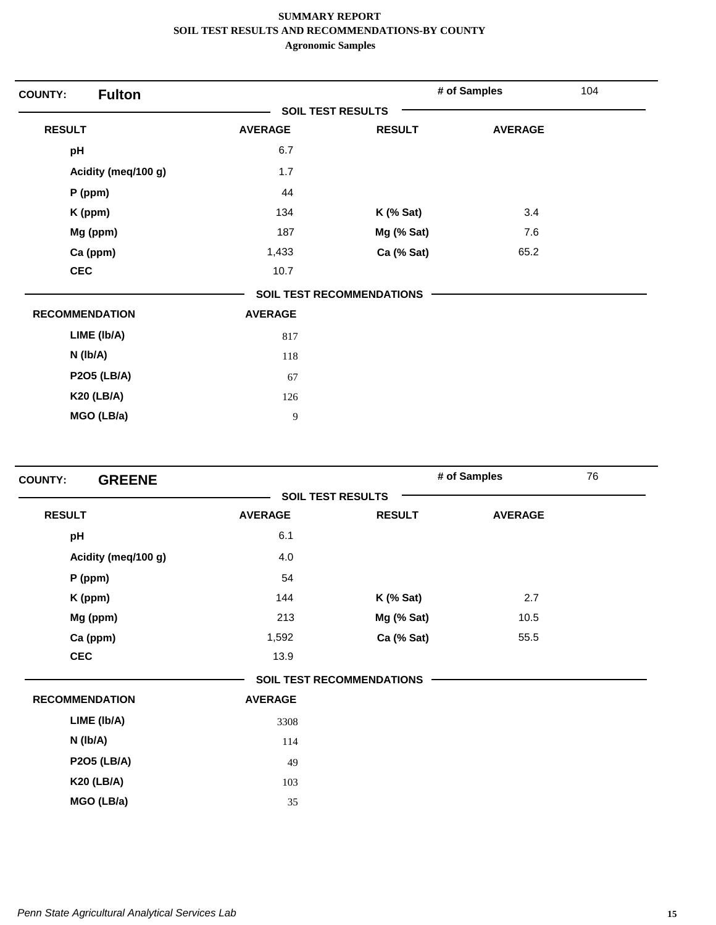| <b>Fulton</b><br><b>COUNTY:</b> |                |                                  | # of Samples   | 104 |
|---------------------------------|----------------|----------------------------------|----------------|-----|
|                                 |                | <b>SOIL TEST RESULTS</b>         |                |     |
| <b>RESULT</b>                   | <b>AVERAGE</b> | <b>RESULT</b>                    | <b>AVERAGE</b> |     |
| pH                              | 6.7            |                                  |                |     |
| Acidity (meq/100 g)             | 1.7            |                                  |                |     |
| $P$ (ppm)                       | 44             |                                  |                |     |
| K (ppm)                         | 134            | $K$ (% Sat)                      | 3.4            |     |
| Mg (ppm)                        | 187            | Mg (% Sat)                       | 7.6            |     |
| Ca (ppm)                        | 1,433          | Ca (% Sat)                       | 65.2           |     |
| <b>CEC</b>                      | 10.7           |                                  |                |     |
|                                 |                | <b>SOIL TEST RECOMMENDATIONS</b> |                |     |
| <b>RECOMMENDATION</b>           | <b>AVERAGE</b> |                                  |                |     |
| LIME (Ib/A)                     | 817            |                                  |                |     |
| N (Ib/A)                        | 118            |                                  |                |     |
| <b>P2O5 (LB/A)</b>              | 67             |                                  |                |     |
| <b>K20 (LB/A)</b>               | 126            |                                  |                |     |
| MGO (LB/a)                      | 9              |                                  |                |     |

| <b>GREENE</b><br><b>COUNTY:</b> |                |                                  | # of Samples   | 76 |
|---------------------------------|----------------|----------------------------------|----------------|----|
|                                 |                | <b>SOIL TEST RESULTS</b>         |                |    |
| <b>RESULT</b>                   | <b>AVERAGE</b> | <b>RESULT</b>                    | <b>AVERAGE</b> |    |
| pH                              | 6.1            |                                  |                |    |
| Acidity (meq/100 g)             | 4.0            |                                  |                |    |
| $P$ (ppm)                       | 54             |                                  |                |    |
| K (ppm)                         | 144            | $K$ (% Sat)                      | 2.7            |    |
| Mg (ppm)                        | 213            | Mg (% Sat)                       | 10.5           |    |
| Ca (ppm)                        | 1,592          | Ca (% Sat)                       | 55.5           |    |
| <b>CEC</b>                      | 13.9           |                                  |                |    |
|                                 |                | <b>SOIL TEST RECOMMENDATIONS</b> |                |    |
| <b>RECOMMENDATION</b>           | <b>AVERAGE</b> |                                  |                |    |
| LIME (Ib/A)                     | 3308           |                                  |                |    |
| $N$ (lb/A)                      | 114            |                                  |                |    |
| <b>P2O5 (LB/A)</b>              | 49             |                                  |                |    |
| <b>K20 (LB/A)</b>               | 103            |                                  |                |    |
| MGO (LB/a)                      | 35             |                                  |                |    |
|                                 |                |                                  |                |    |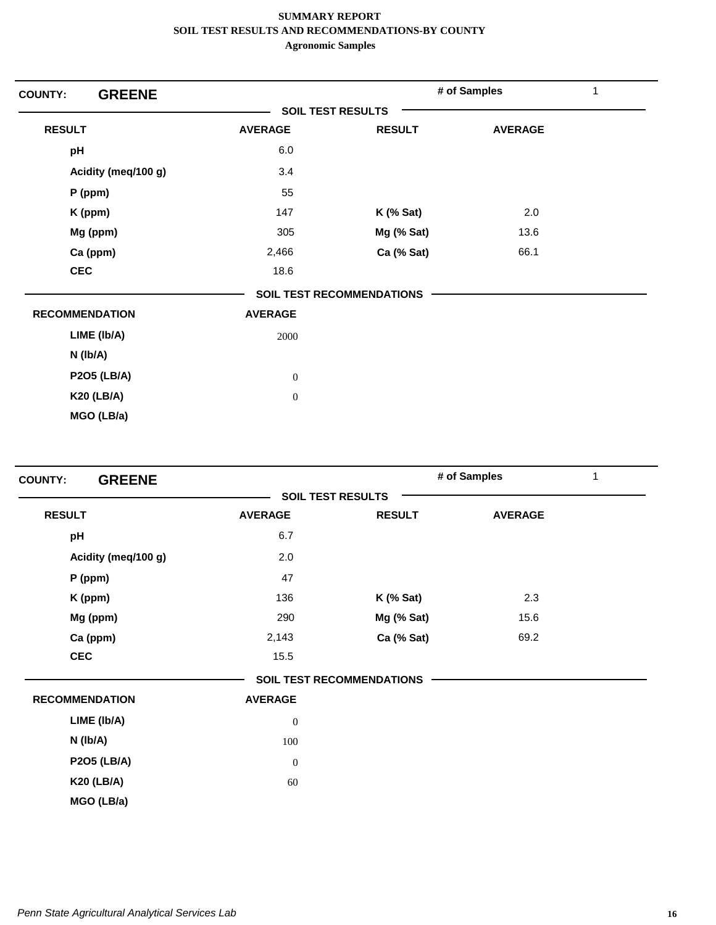| <b>GREENE</b><br><b>COUNTY:</b> |                          |                                  | # of Samples   | 1 |
|---------------------------------|--------------------------|----------------------------------|----------------|---|
|                                 | <b>SOIL TEST RESULTS</b> |                                  |                |   |
| <b>RESULT</b>                   | <b>AVERAGE</b>           | <b>RESULT</b>                    | <b>AVERAGE</b> |   |
| pH                              | 6.0                      |                                  |                |   |
| Acidity (meq/100 g)             | 3.4                      |                                  |                |   |
| $P$ (ppm)                       | 55                       |                                  |                |   |
| K (ppm)                         | 147                      | <b>K</b> (% Sat)                 | 2.0            |   |
| Mg (ppm)                        | 305                      | Mg (% Sat)                       | 13.6           |   |
| Ca (ppm)                        | 2,466                    | Ca (% Sat)                       | 66.1           |   |
| <b>CEC</b>                      | 18.6                     |                                  |                |   |
|                                 |                          | <b>SOIL TEST RECOMMENDATIONS</b> |                |   |
| <b>RECOMMENDATION</b>           | <b>AVERAGE</b>           |                                  |                |   |
| LIME (Ib/A)                     | 2000                     |                                  |                |   |
| $N$ ( $lb/A$ )                  |                          |                                  |                |   |
| <b>P2O5 (LB/A)</b>              | $\boldsymbol{0}$         |                                  |                |   |
| <b>K20 (LB/A)</b>               | $\boldsymbol{0}$         |                                  |                |   |
| MGO (LB/a)                      |                          |                                  |                |   |

| <b>GREENE</b><br><b>COUNTY:</b> |                |                                  | # of Samples   | 1 |
|---------------------------------|----------------|----------------------------------|----------------|---|
|                                 |                | <b>SOIL TEST RESULTS</b>         |                |   |
| <b>RESULT</b>                   | <b>AVERAGE</b> | <b>RESULT</b>                    | <b>AVERAGE</b> |   |
| pH                              | 6.7            |                                  |                |   |
| Acidity (meq/100 g)             | 2.0            |                                  |                |   |
| P (ppm)                         | 47             |                                  |                |   |
| K (ppm)                         | 136            | $K$ (% Sat)                      | 2.3            |   |
| Mg (ppm)                        | 290            | Mg (% Sat)                       | 15.6           |   |
| Ca (ppm)                        | 2,143          | Ca (% Sat)                       | 69.2           |   |
| <b>CEC</b>                      | 15.5           |                                  |                |   |
|                                 |                | <b>SOIL TEST RECOMMENDATIONS</b> |                |   |
| <b>RECOMMENDATION</b>           | <b>AVERAGE</b> |                                  |                |   |
| LIME (Ib/A)                     | $\mathbf{0}$   |                                  |                |   |
| $N$ ( $lb/A$ )                  | 100            |                                  |                |   |
| <b>P2O5 (LB/A)</b>              | $\mathbf{0}$   |                                  |                |   |
| <b>K20 (LB/A)</b>               | 60             |                                  |                |   |
| MGO (LB/a)                      |                |                                  |                |   |
|                                 |                |                                  |                |   |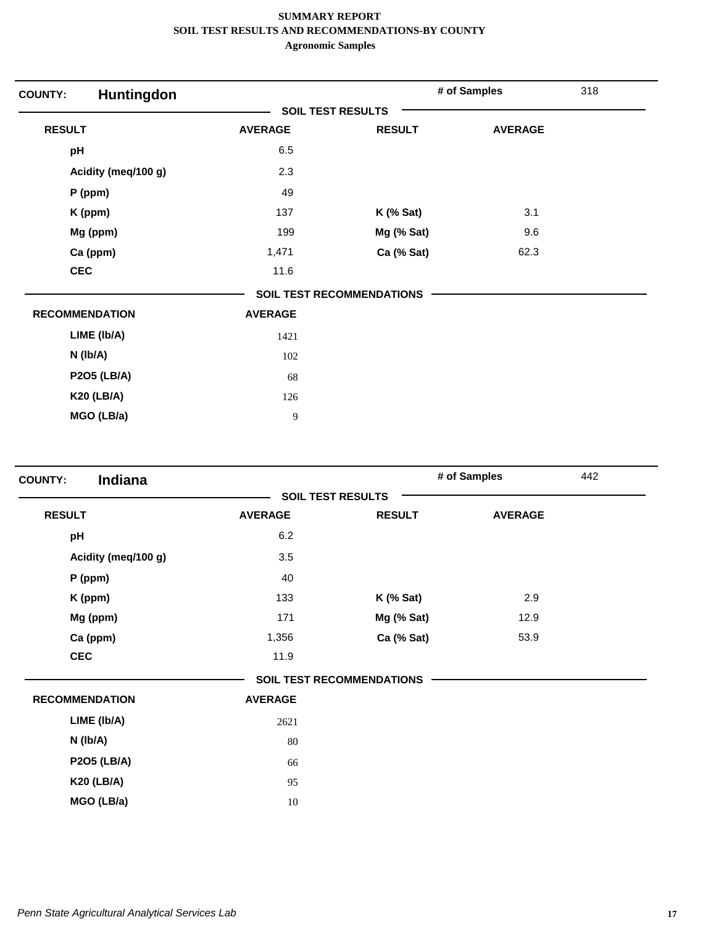| <b>COUNTY:</b> | Huntingdon            |                          |                                  | # of Samples   | 318 |
|----------------|-----------------------|--------------------------|----------------------------------|----------------|-----|
|                |                       | <b>SOIL TEST RESULTS</b> |                                  |                |     |
| <b>RESULT</b>  |                       | <b>AVERAGE</b>           | <b>RESULT</b>                    | <b>AVERAGE</b> |     |
| pH             |                       | 6.5                      |                                  |                |     |
|                | Acidity (meq/100 g)   | 2.3                      |                                  |                |     |
|                | $P$ (ppm)             | 49                       |                                  |                |     |
|                | K (ppm)               | 137                      | $K$ (% Sat)                      | 3.1            |     |
|                | Mg (ppm)              | 199                      | Mg (% Sat)                       | 9.6            |     |
|                | Ca (ppm)              | 1,471                    | Ca (% Sat)                       | 62.3           |     |
| <b>CEC</b>     |                       | 11.6                     |                                  |                |     |
|                |                       |                          | <b>SOIL TEST RECOMMENDATIONS</b> |                |     |
|                | <b>RECOMMENDATION</b> | <b>AVERAGE</b>           |                                  |                |     |
|                | LIME (Ib/A)           | 1421                     |                                  |                |     |
|                | N (Ib/A)              | 102                      |                                  |                |     |
|                | <b>P2O5 (LB/A)</b>    | 68                       |                                  |                |     |
|                | <b>K20 (LB/A)</b>     | 126                      |                                  |                |     |
|                | MGO (LB/a)            | 9                        |                                  |                |     |

| Indiana<br><b>COUNTY:</b> |                |                                  | # of Samples   | 442 |
|---------------------------|----------------|----------------------------------|----------------|-----|
|                           |                | <b>SOIL TEST RESULTS</b>         |                |     |
| <b>RESULT</b>             | <b>AVERAGE</b> | <b>RESULT</b>                    | <b>AVERAGE</b> |     |
| pH                        | 6.2            |                                  |                |     |
| Acidity (meq/100 g)       | 3.5            |                                  |                |     |
| $P$ (ppm)                 | 40             |                                  |                |     |
| K (ppm)                   | 133            | <b>K</b> (% Sat)                 | 2.9            |     |
| Mg (ppm)                  | 171            | Mg (% Sat)                       | 12.9           |     |
| Ca (ppm)                  | 1,356          | Ca (% Sat)                       | 53.9           |     |
| <b>CEC</b>                | 11.9           |                                  |                |     |
|                           |                | <b>SOIL TEST RECOMMENDATIONS</b> |                |     |
| <b>RECOMMENDATION</b>     | <b>AVERAGE</b> |                                  |                |     |
| LIME (Ib/A)               | 2621           |                                  |                |     |
| $N$ ( $lb/A$ )            | 80             |                                  |                |     |
| <b>P2O5 (LB/A)</b>        | 66             |                                  |                |     |
| <b>K20 (LB/A)</b>         | 95             |                                  |                |     |
| MGO (LB/a)                | 10             |                                  |                |     |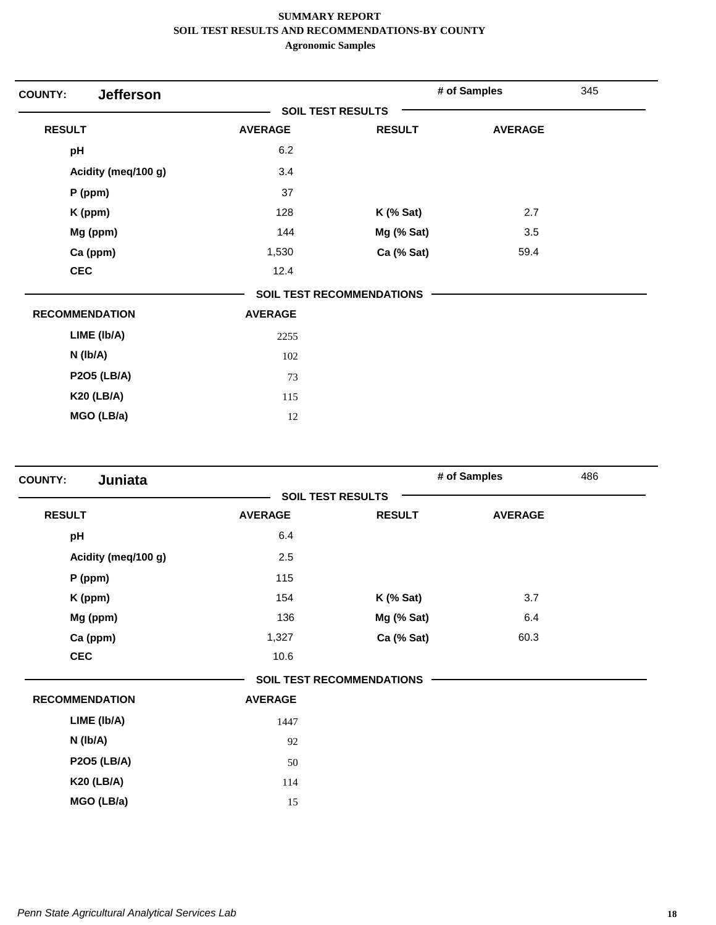| <b>Jefferson</b><br><b>COUNTY:</b> |                |                                  | # of Samples   | 345 |
|------------------------------------|----------------|----------------------------------|----------------|-----|
|                                    |                | <b>SOIL TEST RESULTS</b>         |                |     |
| <b>RESULT</b>                      | <b>AVERAGE</b> | <b>RESULT</b>                    | <b>AVERAGE</b> |     |
| pH                                 | 6.2            |                                  |                |     |
| Acidity (meq/100 g)                | 3.4            |                                  |                |     |
| $P$ (ppm)                          | 37             |                                  |                |     |
| K (ppm)                            | 128            | $K$ (% Sat)                      | 2.7            |     |
| Mg (ppm)                           | 144            | Mg (% Sat)                       | 3.5            |     |
| Ca (ppm)                           | 1,530          | Ca (% Sat)                       | 59.4           |     |
| <b>CEC</b>                         | 12.4           |                                  |                |     |
|                                    |                | <b>SOIL TEST RECOMMENDATIONS</b> |                |     |
| <b>RECOMMENDATION</b>              | <b>AVERAGE</b> |                                  |                |     |
| LIME (Ib/A)                        | 2255           |                                  |                |     |
| $N$ (lb/A)                         | 102            |                                  |                |     |
| <b>P2O5 (LB/A)</b>                 | 73             |                                  |                |     |
| <b>K20 (LB/A)</b>                  | 115            |                                  |                |     |
| MGO (LB/a)                         | 12             |                                  |                |     |

| <b>SOIL TEST RESULTS</b><br><b>RESULT</b><br><b>AVERAGE</b><br><b>RESULT</b><br><b>AVERAGE</b><br>pH<br>6.4<br>Acidity (meq/100 g)<br>2.5<br>115<br>P (ppm)<br>3.7<br>K (ppm)<br>154<br>$K$ (% Sat)<br>Mg (ppm)<br>136<br>Mg (% Sat)<br>6.4<br>Ca (ppm)<br>60.3<br>1,327<br>Ca (% Sat)<br><b>CEC</b><br>10.6<br><b>SOIL TEST RECOMMENDATIONS</b><br><b>RECOMMENDATION</b><br><b>AVERAGE</b><br>LIME (Ib/A)<br>1447<br>N (Ib/A)<br>92<br><b>P2O5 (LB/A)</b><br>50<br><b>K20 (LB/A)</b> | Juniata<br><b>COUNTY:</b> |     | # of Samples | 486 |
|---------------------------------------------------------------------------------------------------------------------------------------------------------------------------------------------------------------------------------------------------------------------------------------------------------------------------------------------------------------------------------------------------------------------------------------------------------------------------------------|---------------------------|-----|--------------|-----|
|                                                                                                                                                                                                                                                                                                                                                                                                                                                                                       |                           |     |              |     |
|                                                                                                                                                                                                                                                                                                                                                                                                                                                                                       |                           |     |              |     |
|                                                                                                                                                                                                                                                                                                                                                                                                                                                                                       |                           |     |              |     |
|                                                                                                                                                                                                                                                                                                                                                                                                                                                                                       |                           |     |              |     |
|                                                                                                                                                                                                                                                                                                                                                                                                                                                                                       |                           |     |              |     |
|                                                                                                                                                                                                                                                                                                                                                                                                                                                                                       |                           |     |              |     |
|                                                                                                                                                                                                                                                                                                                                                                                                                                                                                       |                           |     |              |     |
|                                                                                                                                                                                                                                                                                                                                                                                                                                                                                       |                           |     |              |     |
|                                                                                                                                                                                                                                                                                                                                                                                                                                                                                       |                           |     |              |     |
|                                                                                                                                                                                                                                                                                                                                                                                                                                                                                       |                           |     |              |     |
|                                                                                                                                                                                                                                                                                                                                                                                                                                                                                       |                           |     |              |     |
|                                                                                                                                                                                                                                                                                                                                                                                                                                                                                       |                           |     |              |     |
|                                                                                                                                                                                                                                                                                                                                                                                                                                                                                       |                           |     |              |     |
|                                                                                                                                                                                                                                                                                                                                                                                                                                                                                       |                           |     |              |     |
|                                                                                                                                                                                                                                                                                                                                                                                                                                                                                       |                           | 114 |              |     |
| MGO (LB/a)<br>15                                                                                                                                                                                                                                                                                                                                                                                                                                                                      |                           |     |              |     |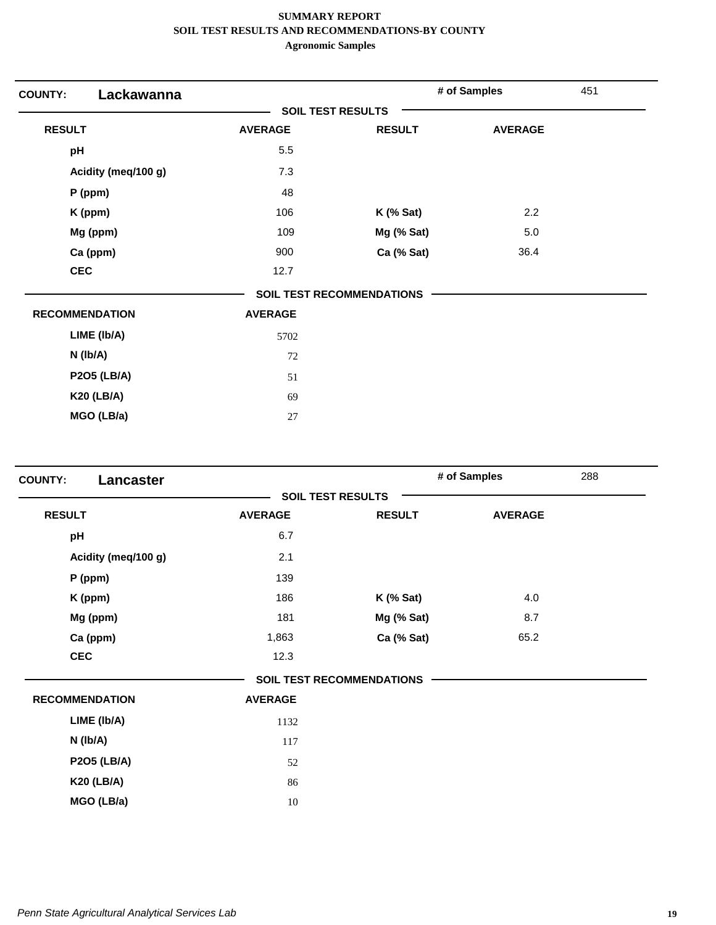| Lackawanna<br><b>COUNTY:</b> |                |                                  | # of Samples   | 451 |
|------------------------------|----------------|----------------------------------|----------------|-----|
|                              |                | <b>SOIL TEST RESULTS</b>         |                |     |
| <b>RESULT</b>                | <b>AVERAGE</b> | <b>RESULT</b>                    | <b>AVERAGE</b> |     |
| pH                           | 5.5            |                                  |                |     |
| Acidity (meq/100 g)          | 7.3            |                                  |                |     |
| $P$ (ppm)                    | 48             |                                  |                |     |
| K (ppm)                      | 106            | $K$ (% Sat)                      | 2.2            |     |
| Mg (ppm)                     | 109            | Mg (% Sat)                       | 5.0            |     |
| Ca (ppm)                     | 900            | Ca (% Sat)                       | 36.4           |     |
| <b>CEC</b>                   | 12.7           |                                  |                |     |
|                              |                | <b>SOIL TEST RECOMMENDATIONS</b> |                |     |
| <b>RECOMMENDATION</b>        | <b>AVERAGE</b> |                                  |                |     |
| LIME (Ib/A)                  | 5702           |                                  |                |     |
| $N$ (lb/A)                   | 72             |                                  |                |     |
| <b>P2O5 (LB/A)</b>           | 51             |                                  |                |     |
| <b>K20 (LB/A)</b>            | 69             |                                  |                |     |
| MGO (LB/a)                   | 27             |                                  |                |     |

| <b>COUNTY:</b><br>Lancaster |                |                                  | # of Samples   | 288 |
|-----------------------------|----------------|----------------------------------|----------------|-----|
|                             |                | <b>SOIL TEST RESULTS</b>         |                |     |
| <b>RESULT</b>               | <b>AVERAGE</b> | <b>RESULT</b>                    | <b>AVERAGE</b> |     |
| pH                          | 6.7            |                                  |                |     |
| Acidity (meq/100 g)         | 2.1            |                                  |                |     |
| $P$ (ppm)                   | 139            |                                  |                |     |
| K (ppm)                     | 186            | $K$ (% Sat)                      | 4.0            |     |
| Mg (ppm)                    | 181            | Mg (% Sat)                       | 8.7            |     |
| Ca (ppm)                    | 1,863          | Ca (% Sat)                       | 65.2           |     |
| <b>CEC</b>                  | 12.3           |                                  |                |     |
|                             |                | <b>SOIL TEST RECOMMENDATIONS</b> |                |     |
| <b>RECOMMENDATION</b>       | <b>AVERAGE</b> |                                  |                |     |
| LIME (Ib/A)                 | 1132           |                                  |                |     |
| $N$ ( $lb/A$ )              | 117            |                                  |                |     |
| <b>P2O5 (LB/A)</b>          | 52             |                                  |                |     |
| <b>K20 (LB/A)</b>           | 86             |                                  |                |     |
| MGO (LB/a)                  | 10             |                                  |                |     |
|                             |                |                                  |                |     |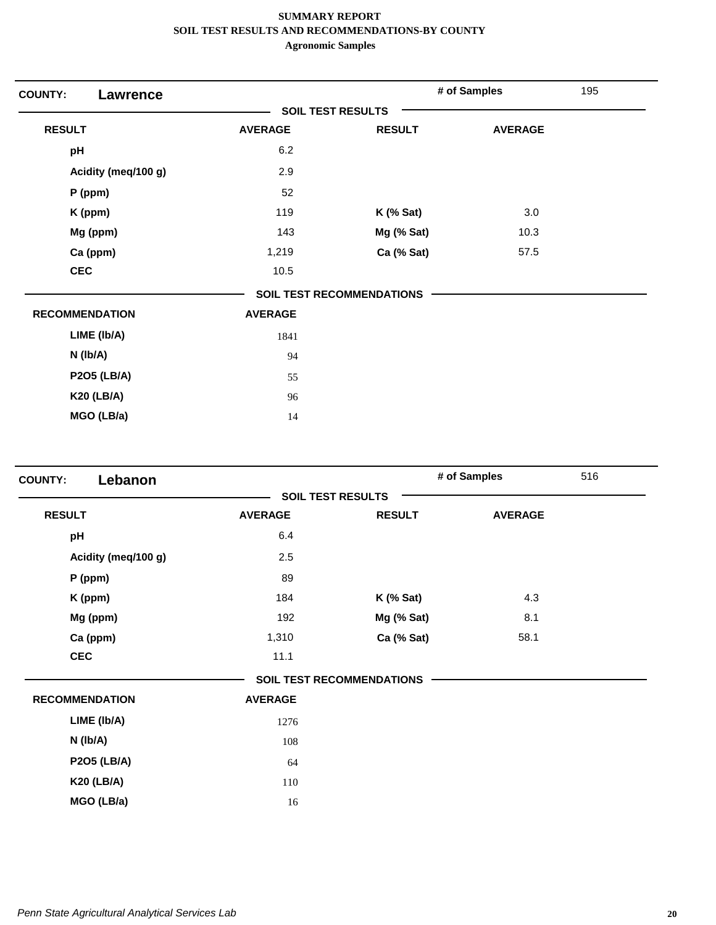| <b>COUNTY:</b><br><b>Lawrence</b> |                          |                                  | # of Samples   | 195 |
|-----------------------------------|--------------------------|----------------------------------|----------------|-----|
|                                   | <b>SOIL TEST RESULTS</b> |                                  |                |     |
| <b>RESULT</b>                     | <b>AVERAGE</b>           | <b>RESULT</b>                    | <b>AVERAGE</b> |     |
| pH                                | 6.2                      |                                  |                |     |
| Acidity (meq/100 g)               | 2.9                      |                                  |                |     |
| $P$ (ppm)                         | 52                       |                                  |                |     |
| K (ppm)                           | 119                      | $K$ (% Sat)                      | 3.0            |     |
| Mg (ppm)                          | 143                      | Mg (% Sat)                       | 10.3           |     |
| Ca (ppm)                          | 1,219                    | Ca (% Sat)                       | 57.5           |     |
| <b>CEC</b>                        | 10.5                     |                                  |                |     |
|                                   |                          | <b>SOIL TEST RECOMMENDATIONS</b> |                |     |
| <b>RECOMMENDATION</b>             | <b>AVERAGE</b>           |                                  |                |     |
| LIME (Ib/A)                       | 1841                     |                                  |                |     |
| N (Ib/A)                          | 94                       |                                  |                |     |
| <b>P2O5 (LB/A)</b>                | 55                       |                                  |                |     |
| <b>K20 (LB/A)</b>                 | 96                       |                                  |                |     |
| MGO (LB/a)                        | 14                       |                                  |                |     |

| Lebanon<br><b>COUNTY:</b> |                |                                  | # of Samples   | 516 |
|---------------------------|----------------|----------------------------------|----------------|-----|
|                           |                | <b>SOIL TEST RESULTS</b>         |                |     |
| <b>RESULT</b>             | <b>AVERAGE</b> | <b>RESULT</b>                    | <b>AVERAGE</b> |     |
| pH                        | 6.4            |                                  |                |     |
| Acidity (meq/100 g)       | 2.5            |                                  |                |     |
| $P$ (ppm)                 | 89             |                                  |                |     |
| K (ppm)                   | 184            | <b>K</b> (% Sat)                 | 4.3            |     |
| Mg (ppm)                  | 192            | Mg (% Sat)                       | 8.1            |     |
| Ca (ppm)                  | 1,310          | Ca (% Sat)                       | 58.1           |     |
| <b>CEC</b>                | 11.1           |                                  |                |     |
|                           |                | <b>SOIL TEST RECOMMENDATIONS</b> |                |     |
| <b>RECOMMENDATION</b>     | <b>AVERAGE</b> |                                  |                |     |
| LIME (Ib/A)               | 1276           |                                  |                |     |
| N (Ib/A)                  | 108            |                                  |                |     |
| <b>P2O5 (LB/A)</b>        | 64             |                                  |                |     |
| <b>K20 (LB/A)</b>         | 110            |                                  |                |     |
| MGO (LB/a)                | 16             |                                  |                |     |
|                           |                |                                  |                |     |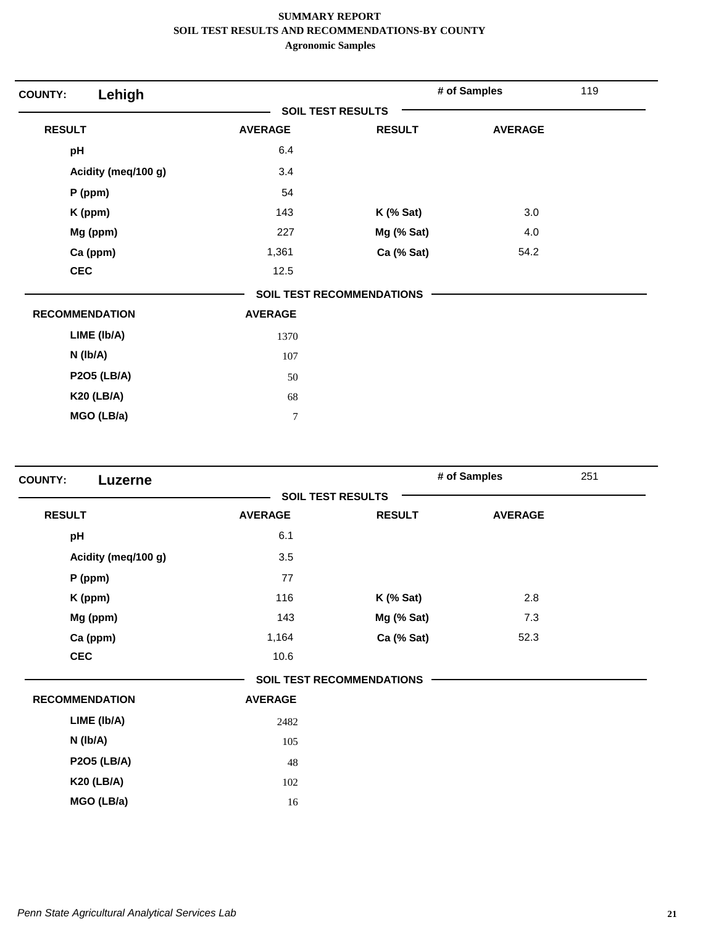| Lehigh<br><b>COUNTY:</b> |                          |                                  | # of Samples   | 119 |
|--------------------------|--------------------------|----------------------------------|----------------|-----|
|                          | <b>SOIL TEST RESULTS</b> |                                  |                |     |
| <b>RESULT</b>            | <b>AVERAGE</b>           | <b>RESULT</b>                    | <b>AVERAGE</b> |     |
| pH                       | 6.4                      |                                  |                |     |
| Acidity (meq/100 g)      | 3.4                      |                                  |                |     |
| $P$ (ppm)                | 54                       |                                  |                |     |
| K (ppm)                  | 143                      | $K$ (% Sat)                      | 3.0            |     |
| Mg (ppm)                 | 227                      | Mg (% Sat)                       | 4.0            |     |
| Ca (ppm)                 | 1,361                    | Ca (% Sat)                       | 54.2           |     |
| <b>CEC</b>               | 12.5                     |                                  |                |     |
|                          |                          | <b>SOIL TEST RECOMMENDATIONS</b> |                |     |
| <b>RECOMMENDATION</b>    | <b>AVERAGE</b>           |                                  |                |     |
| LIME (Ib/A)              | 1370                     |                                  |                |     |
| $N$ ( $lb/A$ )           | 107                      |                                  |                |     |
| <b>P2O5 (LB/A)</b>       | 50                       |                                  |                |     |
| <b>K20 (LB/A)</b>        | 68                       |                                  |                |     |
| MGO (LB/a)               | $\overline{7}$           |                                  |                |     |

| <b>COUNTY:</b><br>Luzerne |                |                                  | # of Samples   | 251 |
|---------------------------|----------------|----------------------------------|----------------|-----|
|                           |                | <b>SOIL TEST RESULTS</b>         |                |     |
| <b>RESULT</b>             | <b>AVERAGE</b> | <b>RESULT</b>                    | <b>AVERAGE</b> |     |
| pH                        | 6.1            |                                  |                |     |
| Acidity (meq/100 g)       | 3.5            |                                  |                |     |
| P (ppm)                   | 77             |                                  |                |     |
| K (ppm)                   | 116            | $K$ (% Sat)                      | 2.8            |     |
| Mg (ppm)                  | 143            | Mg (% Sat)                       | 7.3            |     |
| Ca (ppm)                  | 1,164          | Ca (% Sat)                       | 52.3           |     |
| <b>CEC</b>                | 10.6           |                                  |                |     |
|                           |                | <b>SOIL TEST RECOMMENDATIONS</b> |                |     |
| <b>RECOMMENDATION</b>     | <b>AVERAGE</b> |                                  |                |     |
| LIME (Ib/A)               | 2482           |                                  |                |     |
| $N$ ( $lb/A$ )            | 105            |                                  |                |     |
| <b>P2O5 (LB/A)</b>        | 48             |                                  |                |     |
| <b>K20 (LB/A)</b>         | 102            |                                  |                |     |
| MGO (LB/a)                | 16             |                                  |                |     |
|                           |                |                                  |                |     |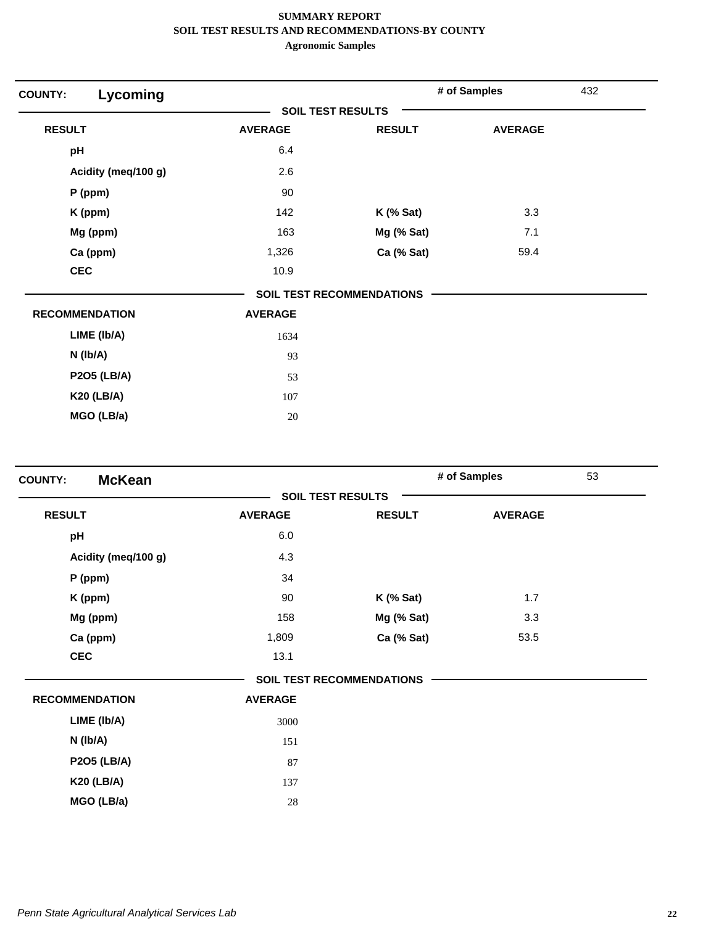| <b>COUNTY:</b>        | Lycoming            |                          |                                  | # of Samples   | 432 |
|-----------------------|---------------------|--------------------------|----------------------------------|----------------|-----|
|                       |                     | <b>SOIL TEST RESULTS</b> |                                  |                |     |
| <b>RESULT</b>         |                     | <b>AVERAGE</b>           | <b>RESULT</b>                    | <b>AVERAGE</b> |     |
| pH                    |                     | 6.4                      |                                  |                |     |
|                       | Acidity (meq/100 g) | 2.6                      |                                  |                |     |
| $P$ (ppm)             |                     | 90                       |                                  |                |     |
| K (ppm)               |                     | 142                      | <b>K</b> (% Sat)                 | 3.3            |     |
| Mg (ppm)              |                     | 163                      | Mg (% Sat)                       | 7.1            |     |
| Ca (ppm)              |                     | 1,326                    | Ca (% Sat)                       | 59.4           |     |
| <b>CEC</b>            |                     | 10.9                     |                                  |                |     |
|                       |                     |                          | <b>SOIL TEST RECOMMENDATIONS</b> |                |     |
| <b>RECOMMENDATION</b> |                     | <b>AVERAGE</b>           |                                  |                |     |
| LIME (Ib/A)           |                     | 1634                     |                                  |                |     |
| $N$ ( $lb/A$ )        |                     | 93                       |                                  |                |     |
|                       | <b>P2O5 (LB/A)</b>  | 53                       |                                  |                |     |
| <b>K20 (LB/A)</b>     |                     | 107                      |                                  |                |     |
|                       | MGO (LB/a)          | $20\,$                   |                                  |                |     |

| <b>McKean</b><br><b>COUNTY:</b> |                |                                  | # of Samples   | 53 |
|---------------------------------|----------------|----------------------------------|----------------|----|
|                                 |                | <b>SOIL TEST RESULTS</b>         |                |    |
| <b>RESULT</b>                   | <b>AVERAGE</b> | <b>RESULT</b>                    | <b>AVERAGE</b> |    |
| pH                              | 6.0            |                                  |                |    |
| Acidity (meq/100 g)             | 4.3            |                                  |                |    |
| P (ppm)                         | 34             |                                  |                |    |
| K (ppm)                         | 90             | $K$ (% Sat)                      | 1.7            |    |
| Mg (ppm)                        | 158            | Mg (% Sat)                       | 3.3            |    |
| Ca (ppm)                        | 1,809          | Ca (% Sat)                       | 53.5           |    |
| <b>CEC</b>                      | 13.1           |                                  |                |    |
|                                 |                | <b>SOIL TEST RECOMMENDATIONS</b> |                |    |
| <b>RECOMMENDATION</b>           | <b>AVERAGE</b> |                                  |                |    |
| LIME (Ib/A)                     | 3000           |                                  |                |    |
| $N$ ( $lb/A$ )                  | 151            |                                  |                |    |
| <b>P2O5 (LB/A)</b>              | 87             |                                  |                |    |
| <b>K20 (LB/A)</b>               | 137            |                                  |                |    |
| MGO (LB/a)                      | 28             |                                  |                |    |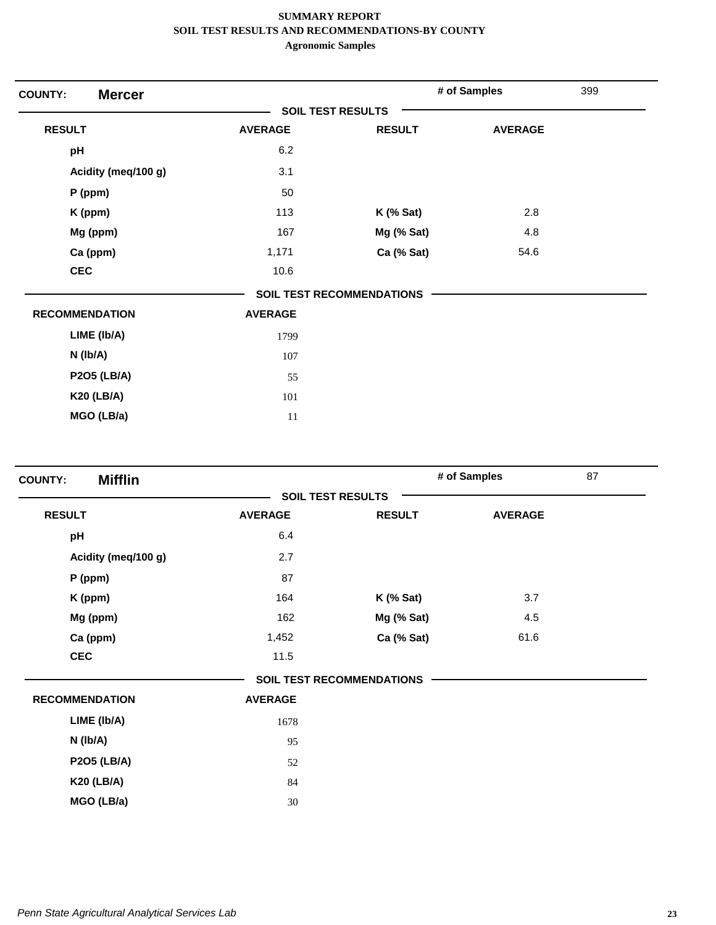| <b>Mercer</b><br><b>COUNTY:</b> |                |                                  | # of Samples   | 399 |
|---------------------------------|----------------|----------------------------------|----------------|-----|
|                                 |                | <b>SOIL TEST RESULTS</b>         |                |     |
| <b>RESULT</b>                   | <b>AVERAGE</b> | <b>RESULT</b>                    | <b>AVERAGE</b> |     |
| pH                              | 6.2            |                                  |                |     |
| Acidity (meq/100 g)             | 3.1            |                                  |                |     |
| $P$ (ppm)                       | 50             |                                  |                |     |
| K (ppm)                         | 113            | $K$ (% Sat)                      | 2.8            |     |
| Mg (ppm)                        | 167            | Mg (% Sat)                       | 4.8            |     |
| Ca (ppm)                        | 1,171          | Ca (% Sat)                       | 54.6           |     |
| <b>CEC</b>                      | 10.6           |                                  |                |     |
|                                 |                | <b>SOIL TEST RECOMMENDATIONS</b> |                |     |
| <b>RECOMMENDATION</b>           | <b>AVERAGE</b> |                                  |                |     |
| LIME (Ib/A)                     | 1799           |                                  |                |     |
| N (Ib/A)                        | 107            |                                  |                |     |
| <b>P2O5 (LB/A)</b>              | 55             |                                  |                |     |
| <b>K20 (LB/A)</b>               | 101            |                                  |                |     |
| MGO (LB/a)                      | 11             |                                  |                |     |

| <b>Mifflin</b><br><b>COUNTY:</b> |                |                                  | # of Samples   | 87 |
|----------------------------------|----------------|----------------------------------|----------------|----|
|                                  |                | <b>SOIL TEST RESULTS</b>         |                |    |
| <b>RESULT</b>                    | <b>AVERAGE</b> | <b>RESULT</b>                    | <b>AVERAGE</b> |    |
| pH                               | 6.4            |                                  |                |    |
| Acidity (meq/100 g)              | 2.7            |                                  |                |    |
| P (ppm)                          | 87             |                                  |                |    |
| K (ppm)                          | 164            | $K$ (% Sat)                      | 3.7            |    |
| Mg (ppm)                         | 162            | Mg (% Sat)                       | 4.5            |    |
| Ca (ppm)                         | 1,452          | Ca (% Sat)                       | 61.6           |    |
| <b>CEC</b>                       | 11.5           |                                  |                |    |
|                                  |                | <b>SOIL TEST RECOMMENDATIONS</b> |                |    |
| <b>RECOMMENDATION</b>            | <b>AVERAGE</b> |                                  |                |    |
| LIME (Ib/A)                      | 1678           |                                  |                |    |
| N (Ib/A)                         | 95             |                                  |                |    |
| <b>P2O5 (LB/A)</b>               | 52             |                                  |                |    |
| <b>K20 (LB/A)</b>                | 84             |                                  |                |    |
| MGO (LB/a)                       | 30             |                                  |                |    |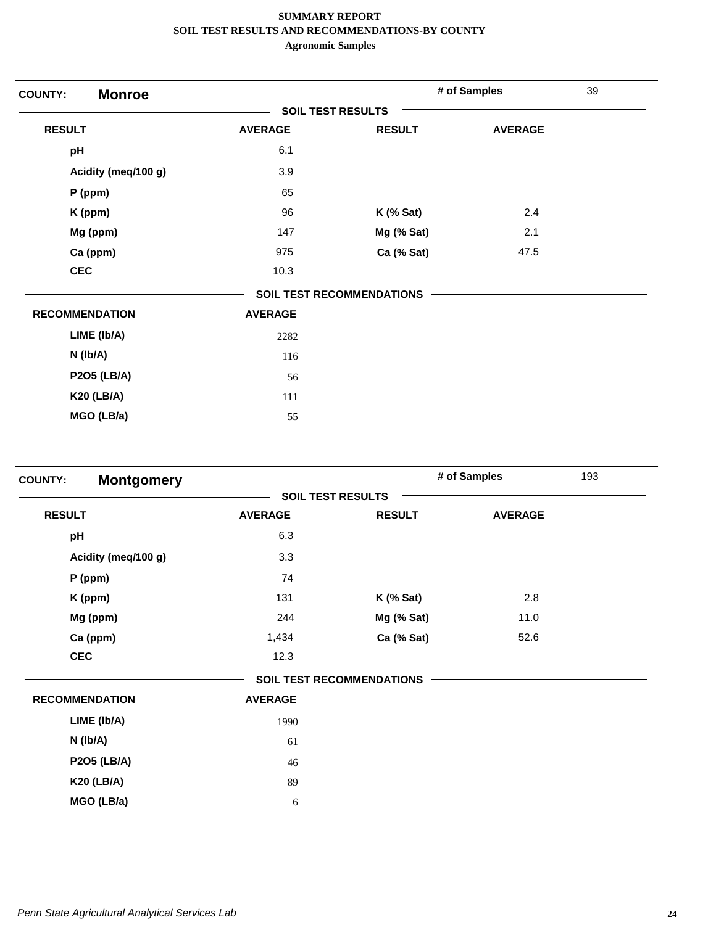| <b>Monroe</b><br><b>COUNTY:</b> |                |                           | # of Samples   | 39 |
|---------------------------------|----------------|---------------------------|----------------|----|
|                                 |                | <b>SOIL TEST RESULTS</b>  |                |    |
| <b>RESULT</b>                   | <b>AVERAGE</b> | <b>RESULT</b>             | <b>AVERAGE</b> |    |
| pH                              | 6.1            |                           |                |    |
| Acidity (meq/100 g)             | 3.9            |                           |                |    |
| $P$ (ppm)                       | 65             |                           |                |    |
| K (ppm)                         | 96             | <b>K</b> (% Sat)          | 2.4            |    |
| Mg (ppm)                        | 147            | Mg (% Sat)                | 2.1            |    |
| Ca (ppm)                        | 975            | Ca (% Sat)                | 47.5           |    |
| <b>CEC</b>                      | 10.3           |                           |                |    |
|                                 |                | SOIL TEST RECOMMENDATIONS |                |    |
| <b>RECOMMENDATION</b>           | <b>AVERAGE</b> |                           |                |    |
| LIME (Ib/A)                     | 2282           |                           |                |    |
| $N$ ( $lb/A$ )                  | 116            |                           |                |    |
| <b>P2O5 (LB/A)</b>              | 56             |                           |                |    |
| <b>K20 (LB/A)</b>               | 111            |                           |                |    |
| MGO (LB/a)                      | 55             |                           |                |    |

| <b>Montgomery</b><br><b>COUNTY:</b> |                          |                           | # of Samples<br>193 |  |
|-------------------------------------|--------------------------|---------------------------|---------------------|--|
|                                     | <b>SOIL TEST RESULTS</b> |                           |                     |  |
| <b>RESULT</b>                       | <b>AVERAGE</b>           | <b>RESULT</b>             | <b>AVERAGE</b>      |  |
| pH                                  | 6.3                      |                           |                     |  |
| Acidity (meq/100 g)                 | 3.3                      |                           |                     |  |
| $P$ (ppm)                           | 74                       |                           |                     |  |
| K (ppm)                             | 131                      | <b>K</b> (% Sat)          | 2.8                 |  |
| Mg (ppm)                            | 244                      | Mg (% Sat)                | 11.0                |  |
| Ca (ppm)                            | 1,434                    | Ca (% Sat)                | 52.6                |  |
| <b>CEC</b>                          | 12.3                     |                           |                     |  |
|                                     |                          | SOIL TEST RECOMMENDATIONS |                     |  |
| <b>RECOMMENDATION</b>               | <b>AVERAGE</b>           |                           |                     |  |
| LIME (Ib/A)                         | 1990                     |                           |                     |  |
| $N$ ( $lb/A$ )                      | 61                       |                           |                     |  |
| <b>P2O5 (LB/A)</b>                  | 46                       |                           |                     |  |
| <b>K20 (LB/A)</b>                   | 89                       |                           |                     |  |
| MGO (LB/a)                          | 6                        |                           |                     |  |
|                                     |                          |                           |                     |  |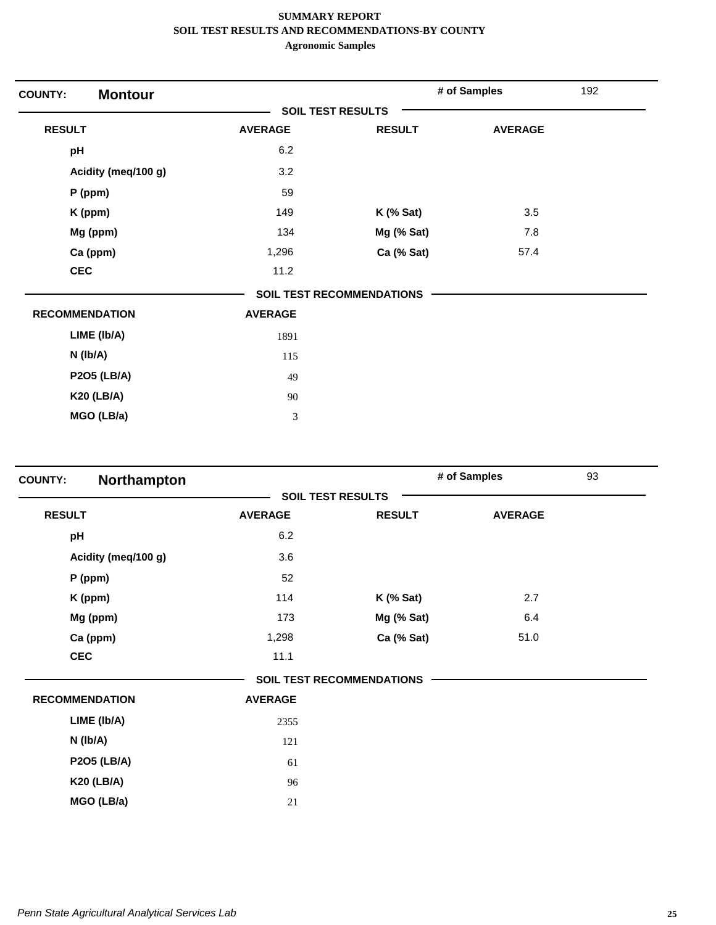| <b>Montour</b><br><b>COUNTY:</b> |                             |                                  | # of Samples   | 192 |
|----------------------------------|-----------------------------|----------------------------------|----------------|-----|
|                                  | <b>SOIL TEST RESULTS</b>    |                                  |                |     |
| <b>RESULT</b>                    | <b>AVERAGE</b>              | <b>RESULT</b>                    | <b>AVERAGE</b> |     |
| pH                               | 6.2                         |                                  |                |     |
| Acidity (meq/100 g)              | 3.2                         |                                  |                |     |
| $P$ (ppm)                        | 59                          |                                  |                |     |
| K (ppm)                          | 149                         | <b>K</b> (% Sat)                 | 3.5            |     |
| Mg (ppm)                         | 134                         | Mg (% Sat)                       | 7.8            |     |
| Ca (ppm)                         | 1,296                       | Ca (% Sat)                       | 57.4           |     |
| <b>CEC</b>                       | 11.2                        |                                  |                |     |
|                                  |                             | <b>SOIL TEST RECOMMENDATIONS</b> |                |     |
| <b>RECOMMENDATION</b>            | <b>AVERAGE</b>              |                                  |                |     |
| LIME (Ib/A)                      | 1891                        |                                  |                |     |
| $N$ (lb/A)                       | 115                         |                                  |                |     |
| <b>P2O5 (LB/A)</b>               | 49                          |                                  |                |     |
| <b>K20 (LB/A)</b>                | 90                          |                                  |                |     |
| MGO (LB/a)                       | $\ensuremath{\mathfrak{Z}}$ |                                  |                |     |

| Northampton<br><b>COUNTY:</b> |                |                           | # of Samples   | 93 |
|-------------------------------|----------------|---------------------------|----------------|----|
|                               |                | <b>SOIL TEST RESULTS</b>  |                |    |
| <b>RESULT</b>                 | <b>AVERAGE</b> | <b>RESULT</b>             | <b>AVERAGE</b> |    |
| pH                            | 6.2            |                           |                |    |
| Acidity (meq/100 g)           | 3.6            |                           |                |    |
| $P$ (ppm)                     | 52             |                           |                |    |
| K (ppm)                       | 114            | $K$ (% Sat)               | 2.7            |    |
| Mg (ppm)                      | 173            | Mg (% Sat)                | 6.4            |    |
| Ca (ppm)                      | 1,298          | Ca (% Sat)                | 51.0           |    |
| <b>CEC</b>                    | 11.1           |                           |                |    |
|                               |                | SOIL TEST RECOMMENDATIONS |                |    |
| <b>RECOMMENDATION</b>         | <b>AVERAGE</b> |                           |                |    |
| LIME (Ib/A)                   | 2355           |                           |                |    |
| N (Ib/A)                      | 121            |                           |                |    |
| <b>P2O5 (LB/A)</b>            | 61             |                           |                |    |
| <b>K20 (LB/A)</b>             | 96             |                           |                |    |
| MGO (LB/a)                    | 21             |                           |                |    |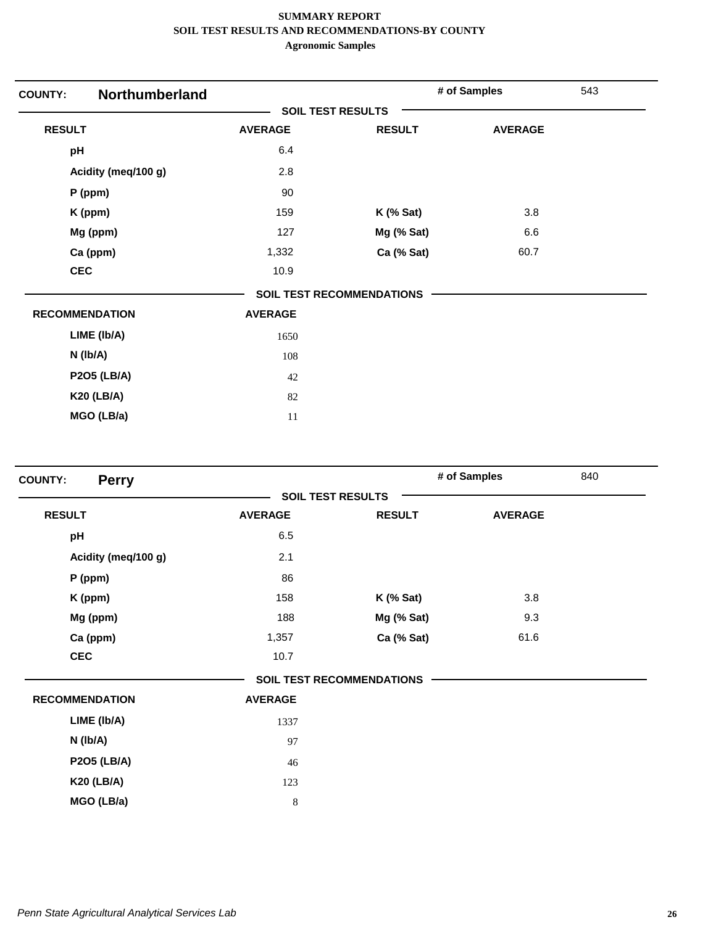| Northumberland<br><b>COUNTY:</b> |                |                                  | # of Samples   | 543 |
|----------------------------------|----------------|----------------------------------|----------------|-----|
|                                  |                | <b>SOIL TEST RESULTS</b>         |                |     |
| <b>RESULT</b>                    | <b>AVERAGE</b> | <b>RESULT</b>                    | <b>AVERAGE</b> |     |
| pH                               | 6.4            |                                  |                |     |
| Acidity (meq/100 g)              | 2.8            |                                  |                |     |
| $P$ (ppm)                        | 90             |                                  |                |     |
| K (ppm)                          | 159            | $K$ (% Sat)                      | 3.8            |     |
| Mg (ppm)                         | 127            | Mg (% Sat)                       | 6.6            |     |
| Ca (ppm)                         | 1,332          | Ca (% Sat)                       | 60.7           |     |
| <b>CEC</b>                       | 10.9           |                                  |                |     |
|                                  |                | <b>SOIL TEST RECOMMENDATIONS</b> |                |     |
| <b>RECOMMENDATION</b>            | <b>AVERAGE</b> |                                  |                |     |
| LIME (Ib/A)                      | 1650           |                                  |                |     |
| $N$ (lb/A)                       | 108            |                                  |                |     |
| <b>P2O5 (LB/A)</b>               | 42             |                                  |                |     |
| <b>K20 (LB/A)</b>                | 82             |                                  |                |     |
| MGO (LB/a)                       | 11             |                                  |                |     |

| <b>Perry</b><br><b>COUNTY:</b> |                |                                  | # of Samples   | 840 |
|--------------------------------|----------------|----------------------------------|----------------|-----|
|                                |                | <b>SOIL TEST RESULTS</b>         |                |     |
| <b>RESULT</b>                  | <b>AVERAGE</b> | <b>RESULT</b>                    | <b>AVERAGE</b> |     |
| pH                             | 6.5            |                                  |                |     |
| Acidity (meq/100 g)            | 2.1            |                                  |                |     |
| P (ppm)                        | 86             |                                  |                |     |
| K (ppm)                        | 158            | $K$ (% Sat)                      | 3.8            |     |
| Mg (ppm)                       | 188            | Mg (% Sat)                       | 9.3            |     |
| Ca (ppm)                       | 1,357          | Ca (% Sat)                       | 61.6           |     |
| <b>CEC</b>                     | 10.7           |                                  |                |     |
|                                |                | <b>SOIL TEST RECOMMENDATIONS</b> |                |     |
| <b>RECOMMENDATION</b>          | <b>AVERAGE</b> |                                  |                |     |
| LIME (Ib/A)                    | 1337           |                                  |                |     |
| $N$ ( $lb/A$ )                 | 97             |                                  |                |     |
| <b>P2O5 (LB/A)</b>             | 46             |                                  |                |     |
| <b>K20 (LB/A)</b>              | 123            |                                  |                |     |
| MGO (LB/a)                     | 8              |                                  |                |     |
|                                |                |                                  |                |     |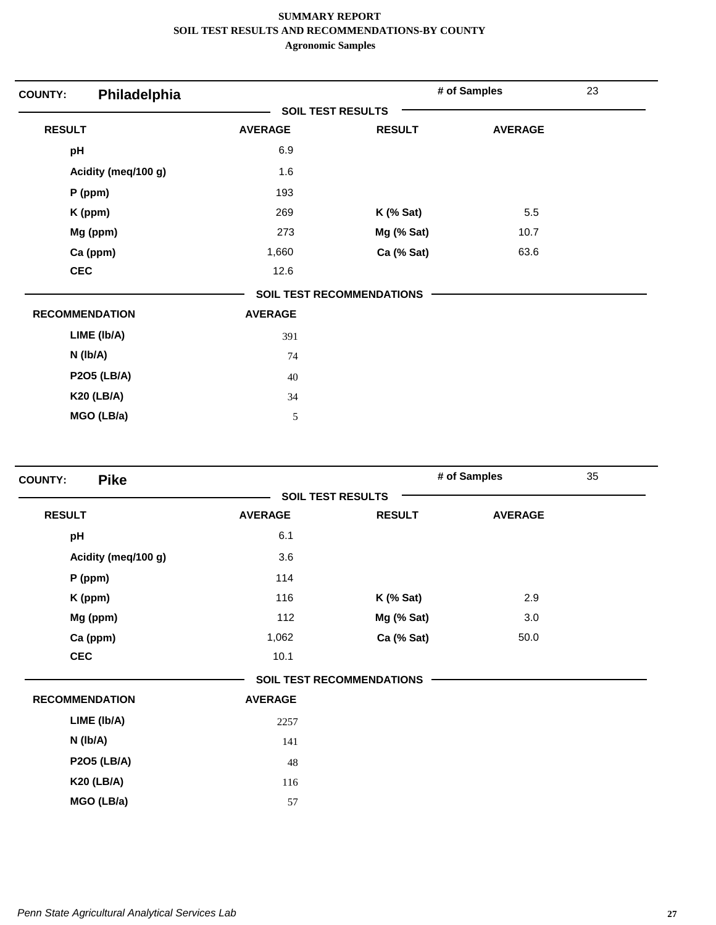| Philadelphia<br><b>COUNTY:</b> |                |                                  | # of Samples   | 23 |
|--------------------------------|----------------|----------------------------------|----------------|----|
|                                |                | <b>SOIL TEST RESULTS</b>         |                |    |
| <b>RESULT</b>                  | <b>AVERAGE</b> | <b>RESULT</b>                    | <b>AVERAGE</b> |    |
| pH                             | 6.9            |                                  |                |    |
| Acidity (meq/100 g)            | 1.6            |                                  |                |    |
| P (ppm)                        | 193            |                                  |                |    |
| K (ppm)                        | 269            | $K$ (% Sat)                      | 5.5            |    |
| Mg (ppm)                       | 273            | Mg (% Sat)                       | 10.7           |    |
| Ca (ppm)                       | 1,660          | Ca (% Sat)                       | 63.6           |    |
| <b>CEC</b>                     | 12.6           |                                  |                |    |
|                                |                | <b>SOIL TEST RECOMMENDATIONS</b> |                |    |
| <b>RECOMMENDATION</b>          | <b>AVERAGE</b> |                                  |                |    |
| LIME (Ib/A)                    | 391            |                                  |                |    |
| $N$ ( $lb/A$ )                 | 74             |                                  |                |    |
| <b>P2O5 (LB/A)</b>             | 40             |                                  |                |    |
| <b>K20 (LB/A)</b>              | 34             |                                  |                |    |
| MGO (LB/a)                     | 5              |                                  |                |    |

| <b>Pike</b><br><b>COUNTY:</b> |                |                                  | # of Samples   | 35 |
|-------------------------------|----------------|----------------------------------|----------------|----|
|                               |                | <b>SOIL TEST RESULTS</b>         |                |    |
| <b>RESULT</b>                 | <b>AVERAGE</b> | <b>RESULT</b>                    | <b>AVERAGE</b> |    |
| pH                            | 6.1            |                                  |                |    |
| Acidity (meq/100 g)           | 3.6            |                                  |                |    |
| $P$ (ppm)                     | 114            |                                  |                |    |
| K (ppm)                       | 116            | <b>K</b> (% Sat)                 | 2.9            |    |
| Mg (ppm)                      | 112            | Mg (% Sat)                       | 3.0            |    |
| Ca (ppm)                      | 1,062          | Ca (% Sat)                       | 50.0           |    |
| <b>CEC</b>                    | 10.1           |                                  |                |    |
|                               |                | <b>SOIL TEST RECOMMENDATIONS</b> |                |    |
| <b>RECOMMENDATION</b>         | <b>AVERAGE</b> |                                  |                |    |
| LIME (Ib/A)                   | 2257           |                                  |                |    |
| N (Ib/A)                      | 141            |                                  |                |    |
| <b>P2O5 (LB/A)</b>            | 48             |                                  |                |    |
| <b>K20 (LB/A)</b>             | 116            |                                  |                |    |
| MGO (LB/a)                    | 57             |                                  |                |    |
|                               |                |                                  |                |    |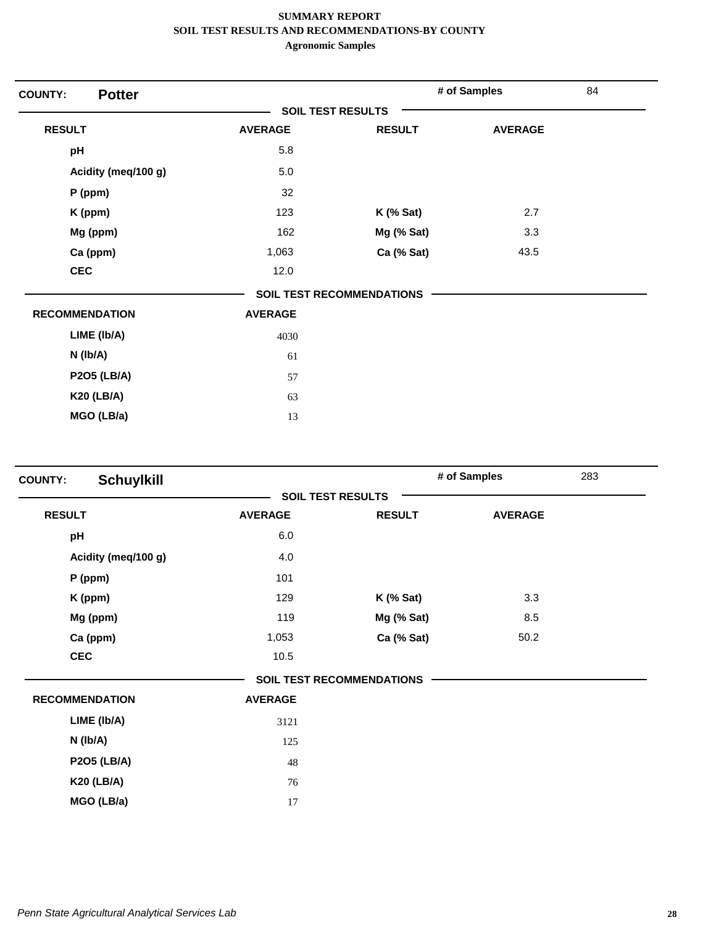| <b>Potter</b><br><b>COUNTY:</b> |                          |                                  | # of Samples   | 84 |
|---------------------------------|--------------------------|----------------------------------|----------------|----|
|                                 | <b>SOIL TEST RESULTS</b> |                                  |                |    |
| <b>RESULT</b>                   | <b>AVERAGE</b>           | <b>RESULT</b>                    | <b>AVERAGE</b> |    |
| pH                              | 5.8                      |                                  |                |    |
| Acidity (meq/100 g)             | 5.0                      |                                  |                |    |
| $P$ (ppm)                       | 32                       |                                  |                |    |
| K (ppm)                         | 123                      | $K$ (% Sat)                      | 2.7            |    |
| Mg (ppm)                        | 162                      | Mg (% Sat)                       | 3.3            |    |
| Ca (ppm)                        | 1,063                    | Ca (% Sat)                       | 43.5           |    |
| <b>CEC</b>                      | 12.0                     |                                  |                |    |
|                                 |                          | <b>SOIL TEST RECOMMENDATIONS</b> |                |    |
| <b>RECOMMENDATION</b>           | <b>AVERAGE</b>           |                                  |                |    |
| LIME (Ib/A)                     | 4030                     |                                  |                |    |
| N (Ib/A)                        | 61                       |                                  |                |    |
| <b>P2O5 (LB/A)</b>              | 57                       |                                  |                |    |
| <b>K20 (LB/A)</b>               | 63                       |                                  |                |    |
| MGO (LB/a)                      | 13                       |                                  |                |    |

| <b>Schuylkill</b><br><b>COUNTY:</b> |                |                                  | # of Samples   | 283 |
|-------------------------------------|----------------|----------------------------------|----------------|-----|
|                                     |                | <b>SOIL TEST RESULTS</b>         |                |     |
| <b>RESULT</b>                       | <b>AVERAGE</b> | <b>RESULT</b>                    | <b>AVERAGE</b> |     |
| pH                                  | 6.0            |                                  |                |     |
| Acidity (meq/100 g)                 | 4.0            |                                  |                |     |
| P (ppm)                             | 101            |                                  |                |     |
| K (ppm)                             | 129            | $K$ (% Sat)                      | 3.3            |     |
| Mg (ppm)                            | 119            | Mg (% Sat)                       | 8.5            |     |
| Ca (ppm)                            | 1,053          | Ca (% Sat)                       | 50.2           |     |
| <b>CEC</b>                          | 10.5           |                                  |                |     |
|                                     |                | <b>SOIL TEST RECOMMENDATIONS</b> |                |     |
| <b>RECOMMENDATION</b>               | <b>AVERAGE</b> |                                  |                |     |
| LIME (Ib/A)                         | 3121           |                                  |                |     |
| $N$ ( $lb/A$ )                      | 125            |                                  |                |     |
| <b>P2O5 (LB/A)</b>                  | 48             |                                  |                |     |
| <b>K20 (LB/A)</b>                   | 76             |                                  |                |     |
| MGO (LB/a)                          | 17             |                                  |                |     |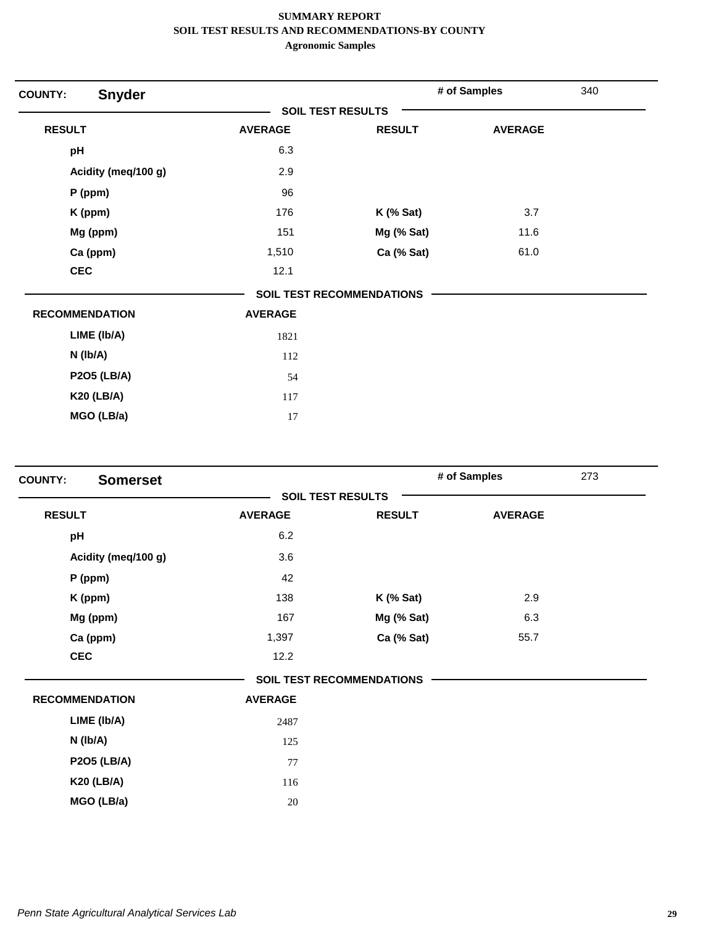| <b>COUNTY:</b>        | <b>Snyder</b>       |                          |                                  | # of Samples   | 340 |
|-----------------------|---------------------|--------------------------|----------------------------------|----------------|-----|
|                       |                     | <b>SOIL TEST RESULTS</b> |                                  |                |     |
| <b>RESULT</b>         |                     | <b>AVERAGE</b>           | <b>RESULT</b>                    | <b>AVERAGE</b> |     |
| pH                    |                     | 6.3                      |                                  |                |     |
|                       | Acidity (meq/100 g) | 2.9                      |                                  |                |     |
| $P$ (ppm)             |                     | 96                       |                                  |                |     |
| K (ppm)               |                     | 176                      | $K$ (% Sat)                      | 3.7            |     |
|                       | Mg (ppm)            | 151                      | Mg (% Sat)                       | 11.6           |     |
|                       | Ca (ppm)            | 1,510                    | Ca (% Sat)                       | 61.0           |     |
| <b>CEC</b>            |                     | 12.1                     |                                  |                |     |
|                       |                     |                          | <b>SOIL TEST RECOMMENDATIONS</b> |                |     |
| <b>RECOMMENDATION</b> |                     | <b>AVERAGE</b>           |                                  |                |     |
|                       | LIME (Ib/A)         | 1821                     |                                  |                |     |
| $N$ ( $lb/A$ )        |                     | 112                      |                                  |                |     |
|                       | <b>P2O5 (LB/A)</b>  | 54                       |                                  |                |     |
|                       | <b>K20 (LB/A)</b>   | 117                      |                                  |                |     |
|                       | MGO (LB/a)          | 17                       |                                  |                |     |

| <b>Somerset</b><br><b>COUNTY:</b> |                          | # of Samples                     | 273            |
|-----------------------------------|--------------------------|----------------------------------|----------------|
|                                   | <b>SOIL TEST RESULTS</b> |                                  |                |
| <b>RESULT</b>                     | <b>AVERAGE</b>           | <b>RESULT</b>                    | <b>AVERAGE</b> |
| pH                                | 6.2                      |                                  |                |
| Acidity (meq/100 g)               | 3.6                      |                                  |                |
| P (ppm)                           | 42                       |                                  |                |
| K (ppm)                           | 138                      | $K$ (% Sat)                      | 2.9            |
| Mg (ppm)                          | 167                      | Mg (% Sat)                       | 6.3            |
| Ca (ppm)                          | 1,397                    | Ca (% Sat)                       | 55.7           |
| <b>CEC</b>                        | 12.2                     |                                  |                |
|                                   |                          | <b>SOIL TEST RECOMMENDATIONS</b> |                |
| <b>RECOMMENDATION</b>             | <b>AVERAGE</b>           |                                  |                |
| LIME (Ib/A)                       | 2487                     |                                  |                |
| $N$ ( $lb/A$ )                    | 125                      |                                  |                |
| <b>P2O5 (LB/A)</b>                | 77                       |                                  |                |
| <b>K20 (LB/A)</b>                 | 116                      |                                  |                |
| MGO (LB/a)                        | 20                       |                                  |                |
|                                   |                          |                                  |                |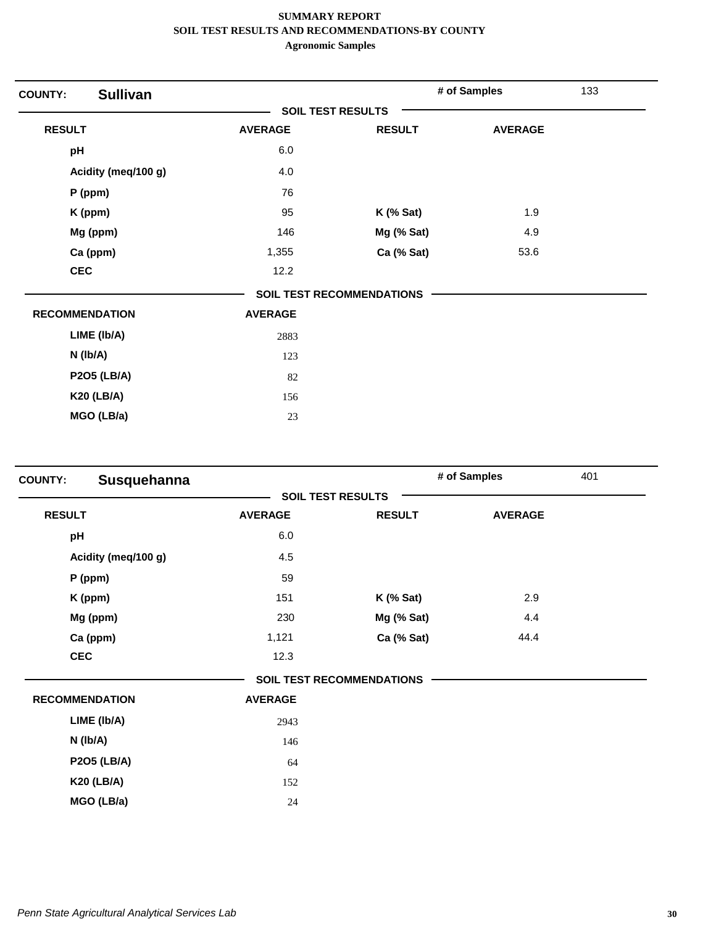| <b>COUNTY:</b>        | <b>Sullivan</b>     |                          |                                  | # of Samples   | 133 |
|-----------------------|---------------------|--------------------------|----------------------------------|----------------|-----|
|                       |                     | <b>SOIL TEST RESULTS</b> |                                  |                |     |
| <b>RESULT</b>         |                     | <b>AVERAGE</b>           | <b>RESULT</b>                    | <b>AVERAGE</b> |     |
| pH                    |                     | 6.0                      |                                  |                |     |
|                       | Acidity (meq/100 g) | 4.0                      |                                  |                |     |
| $P$ (ppm)             |                     | 76                       |                                  |                |     |
| K (ppm)               |                     | 95                       | $K$ (% Sat)                      | 1.9            |     |
|                       | Mg (ppm)            | 146                      | Mg (% Sat)                       | 4.9            |     |
|                       | Ca (ppm)            | 1,355                    | Ca (% Sat)                       | 53.6           |     |
| <b>CEC</b>            |                     | 12.2                     |                                  |                |     |
|                       |                     |                          | <b>SOIL TEST RECOMMENDATIONS</b> |                |     |
| <b>RECOMMENDATION</b> |                     | <b>AVERAGE</b>           |                                  |                |     |
|                       | LIME (Ib/A)         | 2883                     |                                  |                |     |
| $N$ ( $lb/A$ )        |                     | 123                      |                                  |                |     |
|                       | <b>P2O5 (LB/A)</b>  | 82                       |                                  |                |     |
|                       | <b>K20 (LB/A)</b>   | 156                      |                                  |                |     |
|                       | MGO (LB/a)          | 23                       |                                  |                |     |

| <b>COUNTY:</b> | Susquehanna           |                |                                  | # of Samples   | 401 |
|----------------|-----------------------|----------------|----------------------------------|----------------|-----|
|                |                       |                | <b>SOIL TEST RESULTS</b>         |                |     |
| <b>RESULT</b>  |                       | <b>AVERAGE</b> | <b>RESULT</b>                    | <b>AVERAGE</b> |     |
| pH             |                       | 6.0            |                                  |                |     |
|                | Acidity (meq/100 g)   | 4.5            |                                  |                |     |
|                | $P$ (ppm)             | 59             |                                  |                |     |
|                | K (ppm)               | 151            | $K$ (% Sat)                      | 2.9            |     |
|                | Mg (ppm)              | 230            | Mg (% Sat)                       | 4.4            |     |
|                | Ca (ppm)              | 1,121          | Ca (% Sat)                       | 44.4           |     |
|                | <b>CEC</b>            | 12.3           |                                  |                |     |
|                |                       |                | <b>SOIL TEST RECOMMENDATIONS</b> |                |     |
|                | <b>RECOMMENDATION</b> | <b>AVERAGE</b> |                                  |                |     |
|                | LIME (Ib/A)           | 2943           |                                  |                |     |
|                | $N$ (lb/A)            | 146            |                                  |                |     |
|                | <b>P2O5 (LB/A)</b>    | 64             |                                  |                |     |
|                | <b>K20 (LB/A)</b>     | 152            |                                  |                |     |
|                | MGO (LB/a)            | 24             |                                  |                |     |
|                |                       |                |                                  |                |     |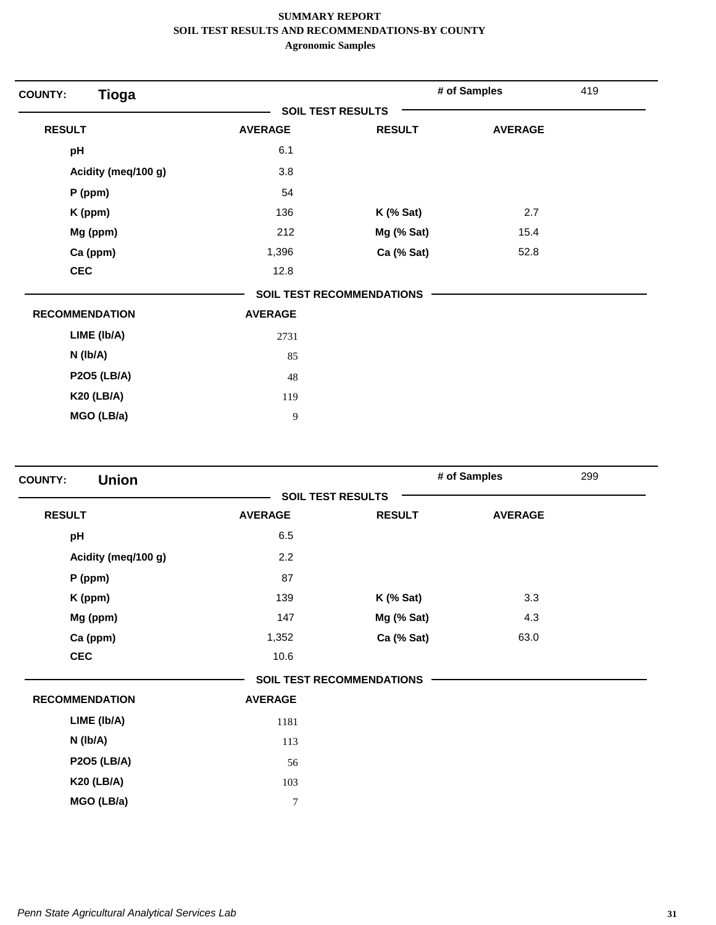| <b>Tioga</b><br><b>COUNTY:</b> |                |                           | # of Samples   | 419 |
|--------------------------------|----------------|---------------------------|----------------|-----|
|                                |                | <b>SOIL TEST RESULTS</b>  |                |     |
| <b>RESULT</b>                  | <b>AVERAGE</b> | <b>RESULT</b>             | <b>AVERAGE</b> |     |
| pH                             | 6.1            |                           |                |     |
| Acidity (meq/100 g)            | 3.8            |                           |                |     |
| $P$ (ppm)                      | 54             |                           |                |     |
| K (ppm)                        | 136            | $K$ (% Sat)               | 2.7            |     |
| Mg (ppm)                       | 212            | Mg (% Sat)                | 15.4           |     |
| Ca (ppm)                       | 1,396          | Ca (% Sat)                | 52.8           |     |
| <b>CEC</b>                     | 12.8           |                           |                |     |
|                                |                | SOIL TEST RECOMMENDATIONS |                |     |
| <b>RECOMMENDATION</b>          | <b>AVERAGE</b> |                           |                |     |
| LIME (Ib/A)                    | 2731           |                           |                |     |
| $N$ ( $lb/A$ )                 | 85             |                           |                |     |
| <b>P2O5 (LB/A)</b>             | 48             |                           |                |     |
| <b>K20 (LB/A)</b>              | 119            |                           |                |     |
| MGO (LB/a)                     | 9              |                           |                |     |

| <b>Union</b><br><b>COUNTY:</b> |                          |                                  | # of Samples   | 299 |
|--------------------------------|--------------------------|----------------------------------|----------------|-----|
|                                | <b>SOIL TEST RESULTS</b> |                                  |                |     |
| <b>RESULT</b>                  | <b>AVERAGE</b>           | <b>RESULT</b>                    | <b>AVERAGE</b> |     |
| pH                             | 6.5                      |                                  |                |     |
| Acidity (meq/100 g)            | 2.2                      |                                  |                |     |
| P (ppm)                        | 87                       |                                  |                |     |
| K (ppm)                        | 139                      | <b>K</b> (% Sat)                 | 3.3            |     |
| Mg (ppm)                       | 147                      | Mg (% Sat)                       | 4.3            |     |
| Ca (ppm)                       | 1,352                    | Ca (% Sat)                       | 63.0           |     |
| <b>CEC</b>                     | 10.6                     |                                  |                |     |
|                                |                          | <b>SOIL TEST RECOMMENDATIONS</b> |                |     |
| <b>RECOMMENDATION</b>          | <b>AVERAGE</b>           |                                  |                |     |
| LIME (Ib/A)                    | 1181                     |                                  |                |     |
| $N$ (lb/A)                     | 113                      |                                  |                |     |
| <b>P2O5 (LB/A)</b>             | 56                       |                                  |                |     |
| <b>K20 (LB/A)</b>              | 103                      |                                  |                |     |
| MGO (LB/a)                     | $\overline{7}$           |                                  |                |     |
|                                |                          |                                  |                |     |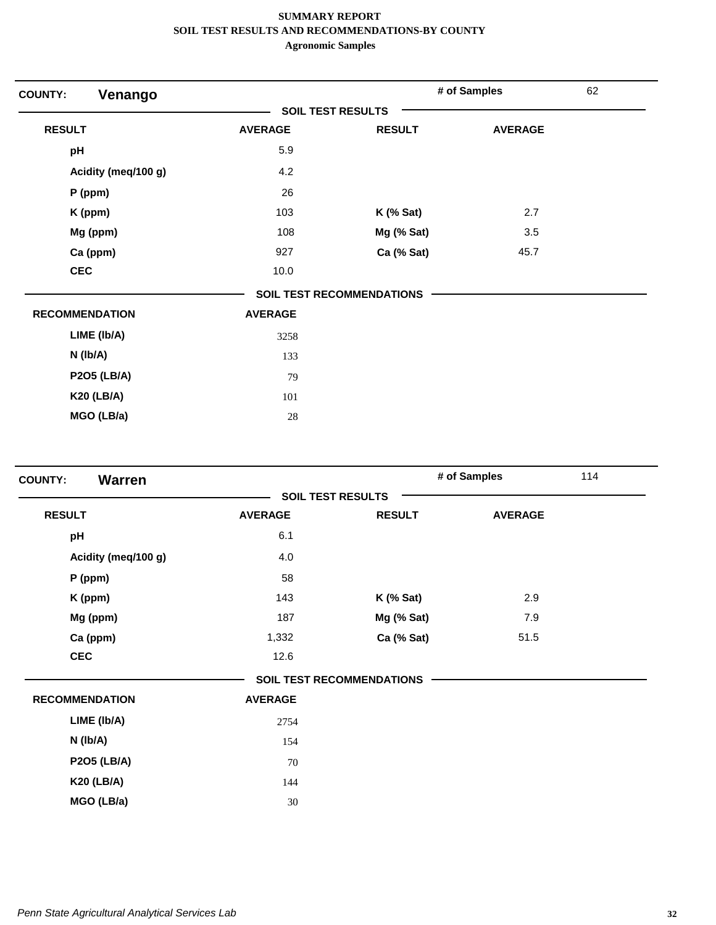| Venango<br><b>COUNTY:</b> |                          |                                  | # of Samples   | 62 |
|---------------------------|--------------------------|----------------------------------|----------------|----|
|                           | <b>SOIL TEST RESULTS</b> |                                  |                |    |
| <b>RESULT</b>             | <b>AVERAGE</b>           | <b>RESULT</b>                    | <b>AVERAGE</b> |    |
| pH                        | 5.9                      |                                  |                |    |
| Acidity (meq/100 g)       | 4.2                      |                                  |                |    |
| P (ppm)                   | 26                       |                                  |                |    |
| K (ppm)                   | 103                      | $K$ (% Sat)                      | 2.7            |    |
| Mg (ppm)                  | 108                      | Mg (% Sat)                       | 3.5            |    |
| Ca (ppm)                  | 927                      | Ca (% Sat)                       | 45.7           |    |
| <b>CEC</b>                | 10.0                     |                                  |                |    |
|                           |                          | <b>SOIL TEST RECOMMENDATIONS</b> |                |    |
| <b>RECOMMENDATION</b>     | <b>AVERAGE</b>           |                                  |                |    |
| LIME (Ib/A)               | 3258                     |                                  |                |    |
| N (Ib/A)                  | 133                      |                                  |                |    |
| <b>P2O5 (LB/A)</b>        | 79                       |                                  |                |    |
| <b>K20 (LB/A)</b>         | 101                      |                                  |                |    |
| MGO (LB/a)                | 28                       |                                  |                |    |

| <b>Warren</b><br><b>COUNTY:</b> |                |                                  | # of Samples   | 114 |
|---------------------------------|----------------|----------------------------------|----------------|-----|
|                                 |                | <b>SOIL TEST RESULTS</b>         |                |     |
| <b>RESULT</b>                   | <b>AVERAGE</b> | <b>RESULT</b>                    | <b>AVERAGE</b> |     |
| pH                              | 6.1            |                                  |                |     |
| Acidity (meq/100 g)             | 4.0            |                                  |                |     |
| $P$ (ppm)                       | 58             |                                  |                |     |
| K (ppm)                         | 143            | $K$ (% Sat)                      | 2.9            |     |
| Mg (ppm)                        | 187            | Mg (% Sat)                       | 7.9            |     |
| Ca (ppm)                        | 1,332          | Ca (% Sat)                       | 51.5           |     |
| <b>CEC</b>                      | 12.6           |                                  |                |     |
|                                 |                | <b>SOIL TEST RECOMMENDATIONS</b> |                |     |
| <b>RECOMMENDATION</b>           | <b>AVERAGE</b> |                                  |                |     |
| LIME (Ib/A)                     | 2754           |                                  |                |     |
| N (lb/A)                        | 154            |                                  |                |     |
| <b>P2O5 (LB/A)</b>              | 70             |                                  |                |     |
| <b>K20 (LB/A)</b>               | 144            |                                  |                |     |
| MGO (LB/a)                      | 30             |                                  |                |     |
|                                 |                |                                  |                |     |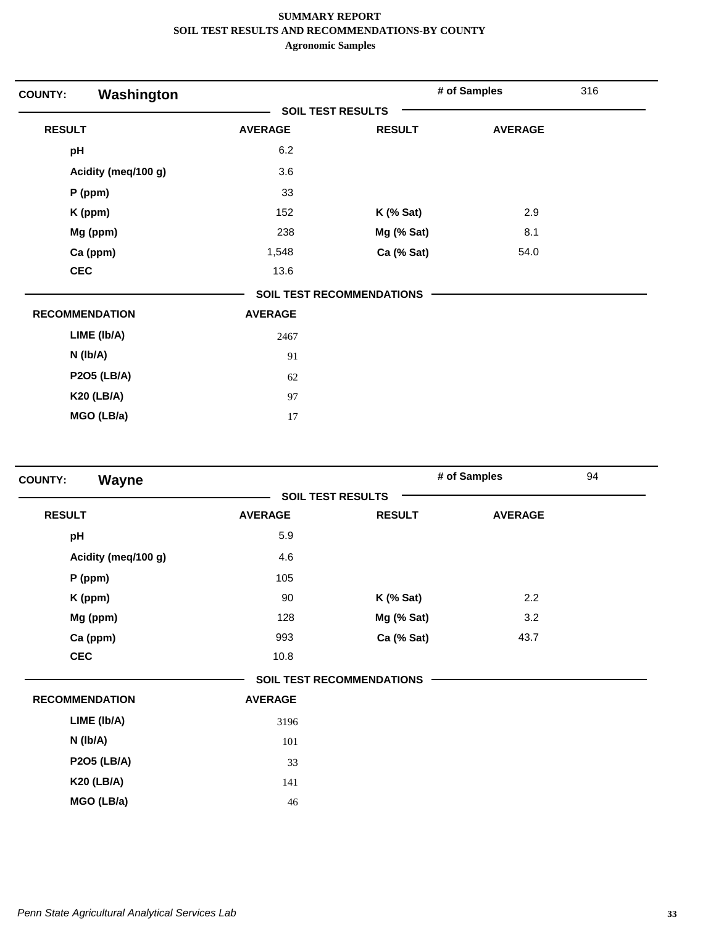| Washington<br><b>COUNTY:</b> |                |                                  | # of Samples   | 316 |
|------------------------------|----------------|----------------------------------|----------------|-----|
|                              |                | <b>SOIL TEST RESULTS</b>         |                |     |
| <b>RESULT</b>                | <b>AVERAGE</b> | <b>RESULT</b>                    | <b>AVERAGE</b> |     |
| pH                           | 6.2            |                                  |                |     |
| Acidity (meq/100 g)          | 3.6            |                                  |                |     |
| P (ppm)                      | 33             |                                  |                |     |
| K (ppm)                      | 152            | $K$ (% Sat)                      | 2.9            |     |
| Mg (ppm)                     | 238            | Mg (% Sat)                       | 8.1            |     |
| Ca (ppm)                     | 1,548          | Ca (% Sat)                       | 54.0           |     |
| <b>CEC</b>                   | 13.6           |                                  |                |     |
|                              |                | <b>SOIL TEST RECOMMENDATIONS</b> |                |     |
| <b>RECOMMENDATION</b>        | <b>AVERAGE</b> |                                  |                |     |
| LIME (Ib/A)                  | 2467           |                                  |                |     |
| N (Ib/A)                     | 91             |                                  |                |     |
| <b>P2O5 (LB/A)</b>           | 62             |                                  |                |     |
| <b>K20 (LB/A)</b>            | 97             |                                  |                |     |
| MGO (LB/a)                   | $17\,$         |                                  |                |     |

| Wayne<br><b>COUNTY:</b> |                          |                                  | # of Samples   | 94 |
|-------------------------|--------------------------|----------------------------------|----------------|----|
|                         | <b>SOIL TEST RESULTS</b> |                                  |                |    |
| <b>RESULT</b>           | <b>AVERAGE</b>           | <b>RESULT</b>                    | <b>AVERAGE</b> |    |
| pH                      | 5.9                      |                                  |                |    |
| Acidity (meq/100 g)     | 4.6                      |                                  |                |    |
| $P$ (ppm)               | 105                      |                                  |                |    |
| K (ppm)                 | 90                       | $K$ (% Sat)                      | 2.2            |    |
| Mg (ppm)                | 128                      | Mg (% Sat)                       | 3.2            |    |
| Ca (ppm)                | 993                      | Ca (% Sat)                       | 43.7           |    |
| <b>CEC</b>              | 10.8                     |                                  |                |    |
|                         |                          | <b>SOIL TEST RECOMMENDATIONS</b> |                |    |
| <b>RECOMMENDATION</b>   | <b>AVERAGE</b>           |                                  |                |    |
| LIME (Ib/A)             | 3196                     |                                  |                |    |
| N (Ib/A)                | 101                      |                                  |                |    |
| <b>P2O5 (LB/A)</b>      | 33                       |                                  |                |    |
| <b>K20 (LB/A)</b>       | 141                      |                                  |                |    |
| MGO (LB/a)              | 46                       |                                  |                |    |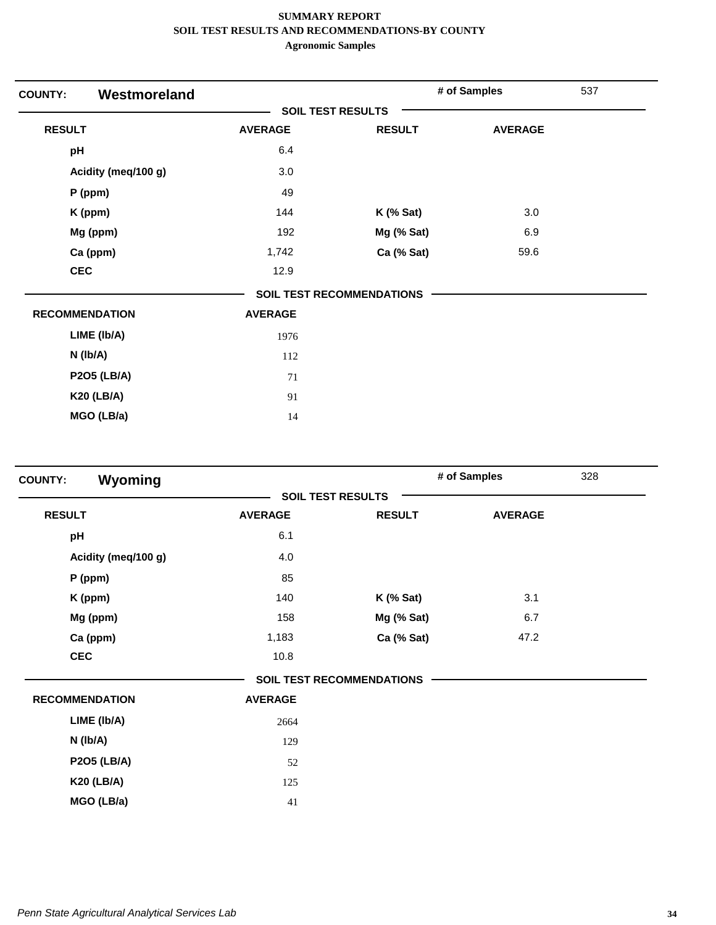| Westmoreland<br><b>COUNTY:</b> |                |                                  | # of Samples   | 537 |
|--------------------------------|----------------|----------------------------------|----------------|-----|
|                                |                | <b>SOIL TEST RESULTS</b>         |                |     |
| <b>RESULT</b>                  | <b>AVERAGE</b> | <b>RESULT</b>                    | <b>AVERAGE</b> |     |
| pH                             | 6.4            |                                  |                |     |
| Acidity (meq/100 g)            | 3.0            |                                  |                |     |
| P (ppm)                        | 49             |                                  |                |     |
| K (ppm)                        | 144            | $K$ (% Sat)                      | 3.0            |     |
| Mg (ppm)                       | 192            | Mg (% Sat)                       | 6.9            |     |
| Ca (ppm)                       | 1,742          | Ca (% Sat)                       | 59.6           |     |
| <b>CEC</b>                     | 12.9           |                                  |                |     |
|                                |                | <b>SOIL TEST RECOMMENDATIONS</b> |                |     |
| <b>RECOMMENDATION</b>          | <b>AVERAGE</b> |                                  |                |     |
| LIME (Ib/A)                    | 1976           |                                  |                |     |
| $N$ (lb/A)                     | 112            |                                  |                |     |
| <b>P2O5 (LB/A)</b>             | 71             |                                  |                |     |
| <b>K20 (LB/A)</b>              | 91             |                                  |                |     |
| MGO (LB/a)                     | 14             |                                  |                |     |

| Wyoming<br><b>COUNTY:</b> |                |                                  | # of Samples   | 328 |
|---------------------------|----------------|----------------------------------|----------------|-----|
|                           |                | <b>SOIL TEST RESULTS</b>         |                |     |
| <b>RESULT</b>             | <b>AVERAGE</b> | <b>RESULT</b>                    | <b>AVERAGE</b> |     |
| pH                        | 6.1            |                                  |                |     |
| Acidity (meq/100 g)       | 4.0            |                                  |                |     |
| P (ppm)                   | 85             |                                  |                |     |
| K (ppm)                   | 140            | <b>K</b> (% Sat)                 | 3.1            |     |
| Mg (ppm)                  | 158            | Mg (% Sat)                       | 6.7            |     |
| Ca (ppm)                  | 1,183          | Ca (% Sat)                       | 47.2           |     |
| <b>CEC</b>                | 10.8           |                                  |                |     |
|                           |                | <b>SOIL TEST RECOMMENDATIONS</b> |                |     |
| <b>RECOMMENDATION</b>     | <b>AVERAGE</b> |                                  |                |     |
| LIME (Ib/A)               | 2664           |                                  |                |     |
| N (Ib/A)                  | 129            |                                  |                |     |
| <b>P2O5 (LB/A)</b>        | 52             |                                  |                |     |
| <b>K20 (LB/A)</b>         | 125            |                                  |                |     |
| MGO (LB/a)                | 41             |                                  |                |     |
|                           |                |                                  |                |     |